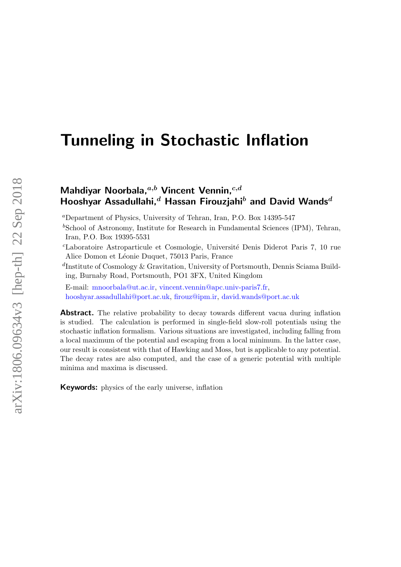# Tunneling in Stochastic Inflation

# Mahdiyar Noorbala, $a,b$  Vincent Vennin, $c,d$ Hooshyar Assadullahi, $^d$  Hassan Firouzjahi $^b$  and David Wands<sup>d</sup>

<sup>a</sup>Department of Physics, University of Tehran, Iran, P.O. Box 14395-547

 ${}^{b}$ School of Astronomy, Institute for Research in Fundamental Sciences (IPM), Tehran, Iran, P.O. Box 19395-5531

<sup>c</sup>Laboratoire Astroparticule et Cosmologie, Universit´e Denis Diderot Paris 7, 10 rue Alice Domon et Léonie Duquet, 75013 Paris, France

d Institute of Cosmology & Gravitation, University of Portsmouth, Dennis Sciama Building, Burnaby Road, Portsmouth, PO1 3FX, United Kingdom

E-mail: [mnoorbala@ut.ac.ir,](mailto:mnoorbala@ut.ac.ir) [vincent.vennin@apc.univ-paris7.fr,](mailto:vincent.vennin@apc.univ-paris7.fr) [hooshyar.assadullahi@port.ac.uk,](mailto:hooshyar.assadullahi@port.ac.uk) [firouz@ipm.ir,](mailto:firouz@ipm.ir) [david.wands@port.ac.uk](mailto:david.wands@port.ac.uk)

Abstract. The relative probability to decay towards different vacua during inflation is studied. The calculation is performed in single-field slow-roll potentials using the stochastic inflation formalism. Various situations are investigated, including falling from a local maximum of the potential and escaping from a local minimum. In the latter case, our result is consistent with that of Hawking and Moss, but is applicable to any potential. The decay rates are also computed, and the case of a generic potential with multiple minima and maxima is discussed.

Keywords: physics of the early universe, inflation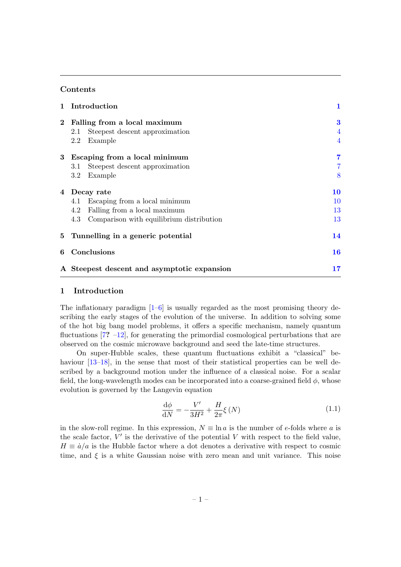# Contents

| $\mathbf{1}$ | Introduction                                    | $\mathbf{1}$   |
|--------------|-------------------------------------------------|----------------|
| $\mathbf 2$  | Falling from a local maximum                    | $\bf{3}$       |
|              | Steepest descent approximation<br>2.1           | 4              |
|              | 2.2<br>Example                                  | $\overline{4}$ |
| 3            | Escaping from a local minimum                   | 7              |
|              | Steepest descent approximation<br>3.1           |                |
|              | $3.2\,$<br>Example                              | 8              |
| 4            | Decay rate                                      | 10             |
|              | Escaping from a local minimum<br>4.1            | 10             |
|              | 4.2<br>Falling from a local maximum             | 13             |
|              | 4.3<br>Comparison with equilibrium distribution | 13             |
| 5            | Tunnelling in a generic potential               | 14             |
| 6            | Conclusions                                     | 16             |
|              | A Steepest descent and asymptotic expansion     | 17             |

# <span id="page-1-0"></span>1 Introduction

The inflationary paradigm  $[1-6]$  $[1-6]$  is usually regarded as the most promising theory describing the early stages of the evolution of the universe. In addition to solving some of the hot big bang model problems, it offers a specific mechanism, namely quantum fluctuations  $[7? -12]$ , for generating the primordial cosmological perturbations that are observed on the cosmic microwave background and seed the late-time structures.

On super-Hubble scales, these quantum fluctuations exhibit a "classical" be-haviour [\[13–](#page-22-2)[18\]](#page-22-3), in the sense that most of their statistical properties can be well described by a background motion under the influence of a classical noise. For a scalar field, the long-wavelength modes can be incorporated into a coarse-grained field  $\phi$ , whose evolution is governed by the Langevin equation

<span id="page-1-1"></span>
$$
\frac{\mathrm{d}\phi}{\mathrm{d}N} = -\frac{V'}{3H^2} + \frac{H}{2\pi}\xi\left(N\right) \tag{1.1}
$$

in the slow-roll regime. In this expression,  $N \equiv \ln a$  is the number of e-folds where a is the scale factor,  $V'$  is the derivative of the potential  $V$  with respect to the field value,  $H \equiv \dot{a}/a$  is the Hubble factor where a dot denotes a derivative with respect to cosmic time, and  $\xi$  is a white Gaussian noise with zero mean and unit variance. This noise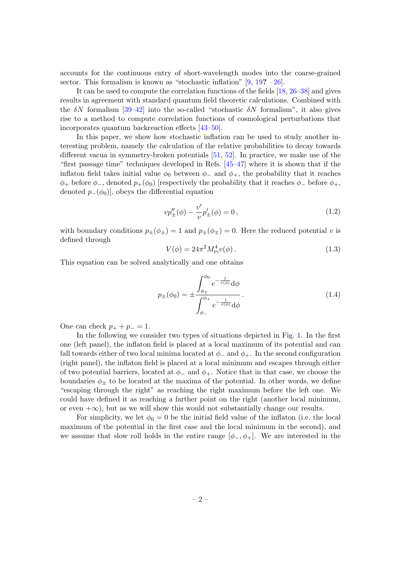accounts for the continuous entry of short-wavelength modes into the coarse-grained sector. This formalism is known as "stochastic inflation" [\[9,](#page-22-4) [19](#page-22-5)? [–26\]](#page-23-0).

It can be used to compute the correlation functions of the fields [\[18,](#page-22-3) [26–](#page-23-0)[38\]](#page-23-1) and gives results in agreement with standard quantum field theoretic calculations. Combined with the  $\delta N$  formalism [\[39–](#page-23-2)[42\]](#page-23-3) into the so-called "stochastic  $\delta N$  formalism", it also gives rise to a method to compute correlation functions of cosmological perturbations that incorporates quantum backreaction effects [\[43–](#page-23-4)[50\]](#page-24-0).

In this paper, we show how stochastic inflation can be used to study another interesting problem, namely the calculation of the relative probabilities to decay towards different vacua in symmetry-broken potentials [\[51,](#page-24-1) [52\]](#page-24-2). In practice, we make use of the "first passage time" techniques developed in Refs. [\[45–](#page-24-3)[47\]](#page-24-4) where it is shown that if the inflaton field takes initial value  $\phi_0$  between  $\phi_-$  and  $\phi_+$ , the probability that it reaches  $\phi_+$  before  $\phi_-,$  denoted  $p_+(\phi_0)$  [respectively the probability that it reaches  $\phi_-$  before  $\phi_+,$ denoted  $p_{-}(\phi_0)$ , obeys the differential equation

<span id="page-2-1"></span>
$$
vp''_{\pm}(\phi) - \frac{v'}{v}p'_{\pm}(\phi) = 0, \qquad (1.2)
$$

with boundary conditions  $p_{\pm}(\phi_{\pm}) = 1$  and  $p_{\pm}(\phi_{\mp}) = 0$ . Here the reduced potential v is defined through

<span id="page-2-0"></span>
$$
V(\phi) = 24\pi^2 M_{\rm Pl}^4 v(\phi). \tag{1.3}
$$

This equation can be solved analytically and one obtains

<span id="page-2-2"></span>
$$
p_{\pm}(\phi_0) = \pm \frac{\int_{\phi_{\mp}}^{\phi_0} e^{-\frac{1}{v(\phi)}} d\phi}{\int_{\phi_{-}}^{\phi_{+}} e^{-\frac{1}{v(\phi)}} d\phi}.
$$
 (1.4)

One can check  $p_+ + p_- = 1$ .

In the following we consider two types of situations depicted in Fig. [1.](#page-3-1) In the first one (left panel), the inflaton field is placed at a local maximum of its potential and can fall towards either of two local minima located at  $\phi_+$  and  $\phi_+$ . In the second configuration (right panel), the inflaton field is placed at a local minimum and escapes through either of two potential barriers, located at  $\phi_-\$  and  $\phi_+$ . Notice that in that case, we choose the boundaries  $\phi_{\pm}$  to be located at the maxima of the potential. In other words, we define "escaping through the right" as reaching the right maximum before the left one. We could have defined it as reaching a farther point on the right (another local minimum, or even  $+\infty$ ), but as we will show this would not substantially change our results.

For simplicity, we let  $\phi_0 = 0$  be the initial field value of the inflaton (i.e. the local maximum of the potential in the first case and the local minimum in the second), and we assume that slow roll holds in the entire range  $[\phi_-, \phi_+]$ . We are interested in the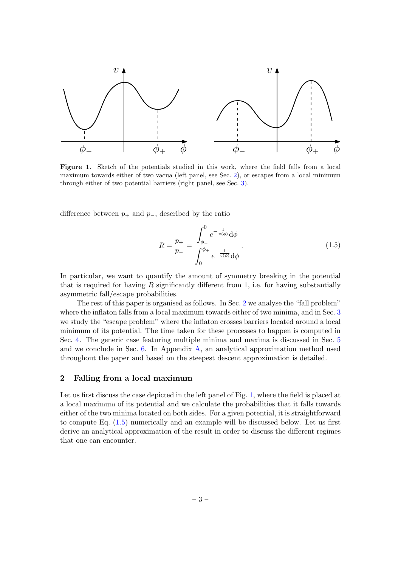

<span id="page-3-1"></span>Figure 1. Sketch of the potentials studied in this work, where the field falls from a local maximum towards either of two vacua (left panel, see Sec. [2\)](#page-3-0), or escapes from a local minimum through either of two potential barriers (right panel, see Sec. [3\)](#page-7-0).

difference between  $p_+$  and  $p_-,$  described by the ratio

<span id="page-3-2"></span>
$$
R = \frac{p_{+}}{p_{-}} = \frac{\int_{\phi_{-}}^{0} e^{-\frac{1}{v(\phi)}} d\phi}{\int_{0}^{\phi_{+}} e^{-\frac{1}{v(\phi)}} d\phi}.
$$
 (1.5)

In particular, we want to quantify the amount of symmetry breaking in the potential that is required for having  $R$  significantly different from 1, i.e. for having substantially asymmetric fall/escape probabilities.

The rest of this paper is organised as follows. In Sec. [2](#page-3-0) we analyse the "fall problem" where the inflaton falls from a local maximum towards either of two minima, and in Sec. [3](#page-7-0) we study the "escape problem" where the inflaton crosses barriers located around a local minimum of its potential. The time taken for these processes to happen is computed in Sec. [4.](#page-10-0) The generic case featuring multiple minima and maxima is discussed in Sec. [5](#page-14-0) and we conclude in Sec. [6.](#page-16-0) In Appendix [A,](#page-17-0) an analytical approximation method used throughout the paper and based on the steepest descent approximation is detailed.

# <span id="page-3-0"></span>2 Falling from a local maximum

Let us first discuss the case depicted in the left panel of Fig. [1,](#page-3-1) where the field is placed at a local maximum of its potential and we calculate the probabilities that it falls towards either of the two minima located on both sides. For a given potential, it is straightforward to compute Eq. [\(1.5\)](#page-3-2) numerically and an example will be discussed below. Let us first derive an analytical approximation of the result in order to discuss the different regimes that one can encounter.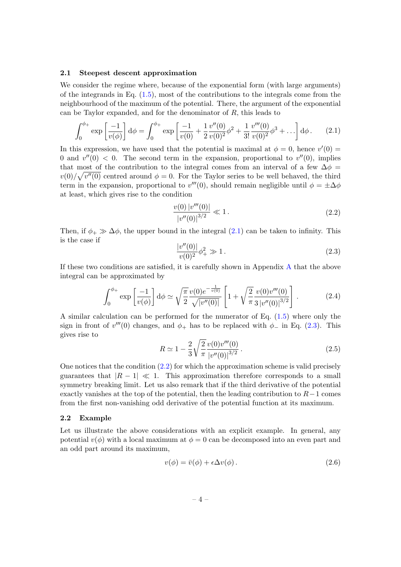#### <span id="page-4-0"></span>2.1 Steepest descent approximation

We consider the regime where, because of the exponential form (with large arguments) of the integrands in Eq.  $(1.5)$ , most of the contributions to the integrals come from the neighbourhood of the maximum of the potential. There, the argument of the exponential can be Taylor expanded, and for the denominator of R, this leads to

<span id="page-4-2"></span>
$$
\int_0^{\phi_+} \exp\left[\frac{-1}{v(\phi)}\right] d\phi = \int_0^{\phi_+} \exp\left[\frac{-1}{v(0)} + \frac{1}{2} \frac{v''(0)}{v(0)^2} \phi^2 + \frac{1}{3!} \frac{v'''(0)}{v(0)^2} \phi^3 + \ldots\right] d\phi. \tag{2.1}
$$

In this expression, we have used that the potential is maximal at  $\phi = 0$ , hence  $v'(0) =$ 0 and  $v''(0) < 0$ . The second term in the expansion, proportional to  $v''(0)$ , implies that most of the contribution to the integral comes from an interval of a few  $\Delta \phi$  =  $v(0)/\sqrt{v''(0)}$  centred around  $\phi = 0$ . For the Taylor series to be well behaved, the third term in the expansion, proportional to  $v'''(0)$ , should remain negligible until  $\phi = \pm \Delta \phi$ at least, which gives rise to the condition

<span id="page-4-4"></span>
$$
\frac{v(0)|v'''(0)|}{|v''(0)|^{3/2}} \ll 1.
$$
\n(2.2)

Then, if  $\phi_+ \gg \Delta \phi$ , the upper bound in the integral [\(2.1\)](#page-4-2) can be taken to infinity. This is the case if

<span id="page-4-3"></span>
$$
\frac{|v''(0)|}{v(0)^2}\phi_+^2 \gg 1.
$$
\n(2.3)

If these two conditions are satisfied, it is carefully shown in Appendix [A](#page-17-0) that the above integral can be approximated by

<span id="page-4-6"></span>
$$
\int_0^{\phi_+} \exp\left[\frac{-1}{v(\phi)}\right] d\phi \simeq \sqrt{\frac{\pi}{2}} \frac{v(0)e^{-\frac{1}{v(0)}}}{\sqrt{|v''(0)|}} \left[1 + \sqrt{\frac{2}{\pi}} \frac{v(0)v'''(0)}{3|v''(0)|^{3/2}}\right].
$$
 (2.4)

A similar calculation can be performed for the numerator of Eq. [\(1.5\)](#page-3-2) where only the sign in front of  $v'''(0)$  changes, and  $\phi_+$  has to be replaced with  $\phi_-$  in Eq. [\(2.3\)](#page-4-3). This gives rise to

<span id="page-4-5"></span>
$$
R \simeq 1 - \frac{2}{3} \sqrt{\frac{2}{\pi}} \frac{v(0)v'''(0)}{|v''(0)|^{3/2}}.
$$
\n(2.5)

One notices that the condition [\(2.2\)](#page-4-4) for which the approximation scheme is valid precisely guarantees that  $|R-1| \ll 1$ . This approximation therefore corresponds to a small symmetry breaking limit. Let us also remark that if the third derivative of the potential exactly vanishes at the top of the potential, then the leading contribution to  $R-1$  comes from the first non-vanishing odd derivative of the potential function at its maximum.

#### <span id="page-4-1"></span>2.2 Example

Let us illustrate the above considerations with an explicit example. In general, any potential  $v(\phi)$  with a local maximum at  $\phi = 0$  can be decomposed into an even part and an odd part around its maximum,

$$
v(\phi) = \bar{v}(\phi) + \epsilon \Delta v(\phi). \tag{2.6}
$$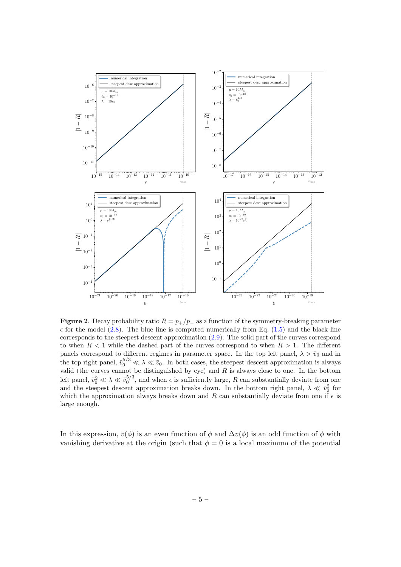

<span id="page-5-0"></span>Figure 2. Decay probability ratio  $R = p_{+}/p_{-}$  as a function of the symmetry-breaking parameter  $\epsilon$  for the model [\(2.8\)](#page-6-0). The blue line is computed numerically from Eq. [\(1.5\)](#page-3-2) and the black line corresponds to the steepest descent approximation [\(2.9\)](#page-6-1). The solid part of the curves correspond to when  $R < 1$  while the dashed part of the curves correspond to when  $R > 1$ . The different panels correspond to different regimes in parameter space. In the top left panel,  $\lambda > \bar{v}_0$  and in the top right panel,  $\bar{v}_0^{5/3} \ll \lambda \ll \bar{v}_0$ . In both cases, the steepest descent approximation is always valid (the curves cannot be distinguished by eye) and  $R$  is always close to one. In the bottom left panel,  $\bar{v}_0^2 \ll \lambda \ll \bar{v}_0^{5/3}$ , and when  $\epsilon$  is sufficiently large, R can substantially deviate from one and the steepest descent approximation breaks down. In the bottom right panel,  $\lambda \ll \bar{v}_0^2$  for which the approximation always breaks down and R can substantially deviate from one if  $\epsilon$  is large enough.

In this expression,  $\bar{v}(\phi)$  is an even function of  $\phi$  and  $\Delta v(\phi)$  is an odd function of  $\phi$  with vanishing derivative at the origin (such that  $\phi = 0$  is a local maximum of the potential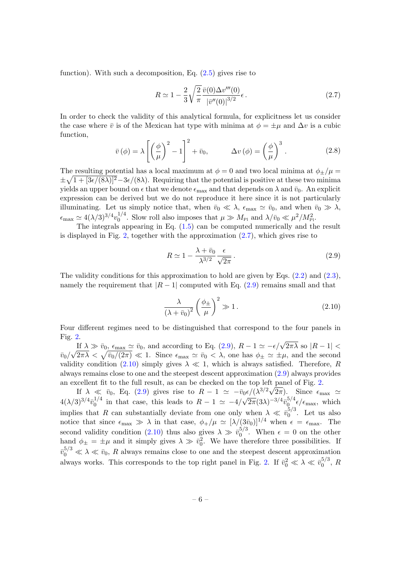function). With such a decomposition, Eq.  $(2.5)$  gives rise to

<span id="page-6-2"></span>
$$
R \simeq 1 - \frac{2}{3} \sqrt{\frac{2}{\pi}} \frac{\bar{v}(0) \Delta v'''(0)}{|\bar{v}''(0)|^{3/2}} \epsilon.
$$
 (2.7)

In order to check the validity of this analytical formula, for explicitness let us consider the case where  $\bar{v}$  is of the Mexican hat type with minima at  $\phi = \pm \mu$  and  $\Delta v$  is a cubic function,

<span id="page-6-0"></span>
$$
\bar{v}(\phi) = \lambda \left[ \left( \frac{\phi}{\mu} \right)^2 - 1 \right]^2 + \bar{v}_0, \qquad \Delta v(\phi) = \left( \frac{\phi}{\mu} \right)^3. \tag{2.8}
$$

The resulting potential has a local maximum at  $\phi = 0$  and two local minima at  $\phi_{\pm}/\mu =$  $\pm\sqrt{1+[3\epsilon/(8\lambda)]^2}-3\epsilon/(8\lambda)$ . Requiring that the potential is positive at these two minima yields an upper bound on  $\epsilon$  that we denote  $\epsilon_{\text{max}}$  and that depends on  $\lambda$  and  $\bar{v}_0$ . An explicit expression can be derived but we do not reproduce it here since it is not particularly illuminating. Let us simply notice that, when  $\bar{v}_0 \ll \lambda$ ,  $\epsilon_{\text{max}} \simeq \bar{v}_0$ , and when  $\bar{v}_0 \gg \lambda$ ,  $\epsilon_{\rm max} \simeq 4 (\lambda/3)^{3/4} v_0^{1/4}$ <sup>1/4</sup>. Slow roll also imposes that  $\mu \gg M_{\text{Pl}}$  and  $\lambda/\bar{v}_0 \ll \mu^2/M_{\text{Pl}}^2$ .

The integrals appearing in Eq. [\(1.5\)](#page-3-2) can be computed numerically and the result is displayed in Fig. [2,](#page-5-0) together with the approximation  $(2.7)$ , which gives rise to

<span id="page-6-1"></span>
$$
R \simeq 1 - \frac{\lambda + \bar{v}_0}{\lambda^{3/2}} \frac{\epsilon}{\sqrt{2\pi}}.
$$
\n(2.9)

The validity conditions for this approximation to hold are given by Eqs.  $(2.2)$  and  $(2.3)$ , namely the requirement that  $|R-1|$  computed with Eq. [\(2.9\)](#page-6-1) remains small and that

<span id="page-6-3"></span>
$$
\frac{\lambda}{\left(\lambda + \bar{v}_0\right)^2} \left(\frac{\phi_{\pm}}{\mu}\right)^2 \gg 1. \tag{2.10}
$$

Four different regimes need to be distinguished that correspond to the four panels in Fig. [2.](#page-5-0)

If  $\lambda \gg \bar{v}_0$ ,  $\epsilon_{\text{max}} \simeq \bar{v}_0$ , and according to Eq. [\(2.9\)](#page-6-1),  $R - 1 \simeq -\epsilon/\sqrt{2\pi\lambda}$  so  $|R - 1|$  <  $\overline{v}_0/\sqrt{2\pi\lambda} < \sqrt{\overline{v}_0/(2\pi)} \ll 1$ . Since  $\epsilon_{\text{max}} \simeq \overline{v}_0 < \lambda$ , one has  $\phi_{\pm} \simeq \pm \mu$ , and the second validity condition [\(2.10\)](#page-6-3) simply gives  $\lambda \ll 1$ , which is always satisfied. Therefore, R always remains close to one and the steepest descent approximation [\(2.9\)](#page-6-1) always provides an excellent fit to the full result, as can be checked on the top left panel of Fig. [2.](#page-5-0)

If  $\lambda \ll \bar{v}_0$ , Eq. [\(2.9\)](#page-6-1) gives rise to  $R - 1 \simeq -\bar{v}_0 \epsilon / (\lambda^{3/2} \sqrt{2\pi})$ . Since  $\epsilon_{\text{max}} \simeq$  $4(\lambda/3)^{3/4}\bar{v}_0^{1/4}$  $\frac{1}{4}$  in that case, this leads to  $R-1 \simeq -4/\sqrt{2\pi}(3\lambda)^{-3/4} \bar{v}_{0}^{5/4}$  $\int_0^{5/4} \epsilon / \epsilon_{\text{max}}$ , which implies that R can substantially deviate from one only when  $\lambda \ll \bar{v}_0^{5/3}$  $\int_0^{5/5}$ . Let us also notice that since  $\epsilon_{\text{max}} \gg \lambda$  in that case,  $\phi_+/\mu \simeq [\lambda/(3\bar{v}_0)]^{1/4}$  when  $\epsilon = \epsilon_{\text{max}}$ . The second validity condition [\(2.10\)](#page-6-3) thus also gives  $\lambda \gg \bar{v}_0^{5/3}$  $\epsilon_0^{0.0}$ . When  $\epsilon = 0$  on the other hand  $\phi_{\pm} = \pm \mu$  and it simply gives  $\lambda \gg \bar{v}_0^2$ . We have therefore three possibilities. If  $\bar{v}_0^{5/3} \ll \lambda \ll \bar{v}_0$ , R always remains close to one and the steepest descent approximation always works. This corresponds to the top right panel in Fig. [2.](#page-5-0) If  $\bar{v}_0^2 \ll \lambda \ll \bar{v}_0^{5/3}$  $b_0^{(0)}, R$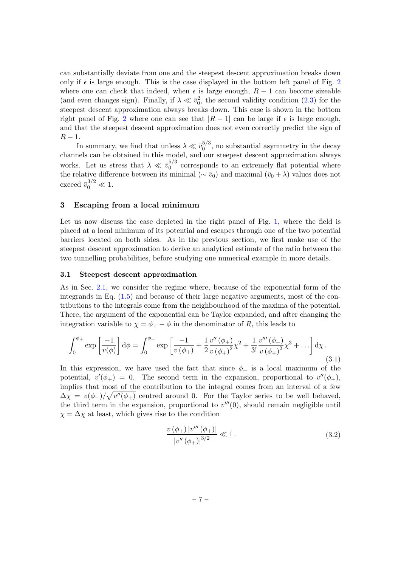can substantially deviate from one and the steepest descent approximation breaks down only if  $\epsilon$  is large enough. This is the case displayed in the bottom left panel of Fig. [2](#page-5-0) where one can check that indeed, when  $\epsilon$  is large enough,  $R - 1$  can become sizeable (and even changes sign). Finally, if  $\lambda \ll \bar{v}_0^2$ , the second validity condition [\(2.3\)](#page-4-3) for the steepest descent approximation always breaks down. This case is shown in the bottom right panel of Fig. [2](#page-5-0) where one can see that  $|R-1|$  can be large if  $\epsilon$  is large enough, and that the steepest descent approximation does not even correctly predict the sign of  $R-1$ .

In summary, we find that unless  $\lambda \ll \bar{v}_0^{5/3}$  $_{0}^{5/5}$ , no substantial asymmetry in the decay channels can be obtained in this model, and our steepest descent approximation always works. Let us stress that  $\lambda \ll \bar{v}_0^{5/3}$  $_{0}^{5/5}$  corresponds to an extremely flat potential where the relative difference between its minimal ( $\sim \bar{v}_0$ ) and maximal  $(\bar{v}_0 + \lambda)$  values does not exceed  $\bar{v}_0^{3/2} \ll 1$ .

#### <span id="page-7-0"></span>3 Escaping from a local minimum

Let us now discuss the case depicted in the right panel of Fig. [1,](#page-3-1) where the field is placed at a local minimum of its potential and escapes through one of the two potential barriers located on both sides. As in the previous section, we first make use of the steepest descent approximation to derive an analytical estimate of the ratio between the two tunnelling probabilities, before studying one numerical example in more details.

# <span id="page-7-1"></span>3.1 Steepest descent approximation

As in Sec. [2.1,](#page-4-0) we consider the regime where, because of the exponential form of the integrands in Eq. [\(1.5\)](#page-3-2) and because of their large negative arguments, most of the contributions to the integrals come from the neighbourhood of the maxima of the potential. There, the argument of the exponential can be Taylor expanded, and after changing the integration variable to  $\chi = \phi_+ - \phi$  in the denominator of R, this leads to

<span id="page-7-2"></span>
$$
\int_0^{\phi_+} \exp\left[\frac{-1}{v(\phi)}\right] d\phi = \int_0^{\phi_+} \exp\left[\frac{-1}{v(\phi_+)} + \frac{1}{2} \frac{v''(\phi_+)}{v(\phi_+)^2} \chi^2 + \frac{1}{3!} \frac{v'''(\phi_+)}{v(\phi_+)^2} \chi^3 + \ldots\right] d\chi.
$$
\n(3.1)

In this expression, we have used the fact that since  $\phi_+$  is a local maximum of the potential,  $v'(\phi_+) = 0$ . The second term in the expansion, proportional to  $v''(\phi_+)$ , implies that most of the contribution to the integral comes from an interval of a few  $\Delta \chi = v(\phi_+) / \sqrt{v''(\phi_+)}$  centred around 0. For the Taylor series to be well behaved, the third term in the expansion, proportional to  $v'''(0)$ , should remain negligible until  $\chi = \Delta \chi$  at least, which gives rise to the condition

<span id="page-7-3"></span>
$$
\frac{v(\phi_+) |v'''(\phi_+)|}{|v''(\phi_+)|^{3/2}} \ll 1.
$$
\n(3.2)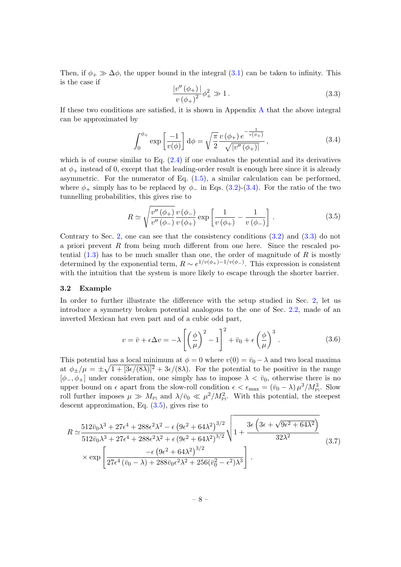Then, if  $\phi_+ \gg \Delta \phi$ , the upper bound in the integral [\(3.1\)](#page-7-2) can be taken to infinity. This is the case if

<span id="page-8-2"></span>
$$
\frac{|v''(\phi_+)|}{v(\phi_+)^2} \phi_+^2 \gg 1.
$$
\n(3.3)

If these two conditions are satisfied, it is shown in Appendix [A](#page-17-0) that the above integral can be approximated by

<span id="page-8-1"></span>
$$
\int_0^{\phi_+} \exp\left[\frac{-1}{v(\phi)}\right] d\phi = \sqrt{\frac{\pi}{2}} \frac{v(\phi_+) e^{-\frac{1}{v(\phi_+)}}}{\sqrt{|v''(\phi_+)|}},
$$
\n(3.4)

which is of course similar to Eq.  $(2.4)$  if one evaluates the potential and its derivatives at  $\phi_+$  instead of 0, except that the leading-order result is enough here since it is already asymmetric. For the numerator of Eq.  $(1.5)$ , a similar calculation can be performed, where  $\phi_+$  simply has to be replaced by  $\phi_-$  in Eqs. [\(3.2\)](#page-7-3)-[\(3.4\)](#page-8-1). For the ratio of the two tunnelling probabilities, this gives rise to

<span id="page-8-3"></span>
$$
R \simeq \sqrt{\frac{v''\left(\phi_{+}\right)}{v''\left(\phi_{-}\right)}} \frac{v\left(\phi_{-}\right)}{v\left(\phi_{+}\right)} \exp\left[\frac{1}{v\left(\phi_{+}\right)} - \frac{1}{v\left(\phi_{-}\right)}\right].
$$
 (3.5)

Contrary to Sec. [2,](#page-3-0) one can see that the consistency conditions [\(3.2\)](#page-7-3) and [\(3.3\)](#page-8-2) do not a priori prevent  $R$  from being much different from one here. Since the rescaled potential  $(1.3)$  has to be much smaller than one, the order of magnitude of R is mostly determined by the exponential term,  $R \sim e^{1/v(\phi_+) - 1/v(\phi_-)}$ . This expression is consistent with the intuition that the system is more likely to escape through the shorter barrier.

#### <span id="page-8-0"></span>3.2 Example

In order to further illustrate the difference with the setup studied in Sec. [2,](#page-3-0) let us introduce a symmetry broken potential analogous to the one of Sec. [2.2,](#page-4-1) made of an inverted Mexican hat even part and of a cubic odd part,

<span id="page-8-4"></span>
$$
v = \bar{v} + \epsilon \Delta v = -\lambda \left[ \left( \frac{\phi}{\mu} \right)^2 - 1 \right]^2 + \bar{v}_0 + \epsilon \left( \frac{\phi}{\mu} \right)^3.
$$
 (3.6)

This potential has a local minimum at  $\phi = 0$  where  $v(0) = \bar{v}_0 - \lambda$  and two local maxima at  $\phi_{\pm}/\mu = \pm \sqrt{1 + [3\epsilon/(8\lambda)]^2} + 3\epsilon/(8\lambda)$ . For the potential to be positive in the range  $[\phi_-, \phi_+]$  under consideration, one simply has to impose  $\lambda < \bar{v}_0$ , otherwise there is no upper bound on  $\epsilon$  apart from the slow-roll condition  $\epsilon < \epsilon_{\text{max}} = (\bar{v}_0 - \lambda) \mu^3 / M_{\text{Pl}}^3$ . Slow roll further imposes  $\mu \gg M_{\text{Pl}}$  and  $\lambda/\bar{v}_0 \ll \mu^2/M_{\text{Pl}}^2$ . With this potential, the steepest descent approximation, Eq. [\(3.5\)](#page-8-3), gives rise to

<span id="page-8-5"></span>
$$
R \simeq \frac{512\bar{v}_0\lambda^3 + 27\epsilon^4 + 288\epsilon^2\lambda^2 - \epsilon (9\epsilon^2 + 64\lambda^2)^{3/2}}{512\bar{v}_0\lambda^3 + 27\epsilon^4 + 288\epsilon^2\lambda^2 + \epsilon (9\epsilon^2 + 64\lambda^2)^{3/2}} \sqrt{1 + \frac{3\epsilon (3\epsilon + \sqrt{9\epsilon^2 + 64\lambda^2})}{32\lambda^2}}
$$
\n
$$
\times \exp\left[\frac{-\epsilon (9\epsilon^2 + 64\lambda^2)^{3/2}}{27\epsilon^4 (\bar{v}_0 - \lambda) + 288\bar{v}_0\epsilon^2\lambda^2 + 256(\bar{v}_0^2 - \epsilon^2)\lambda^3}\right].
$$
\n(3.7)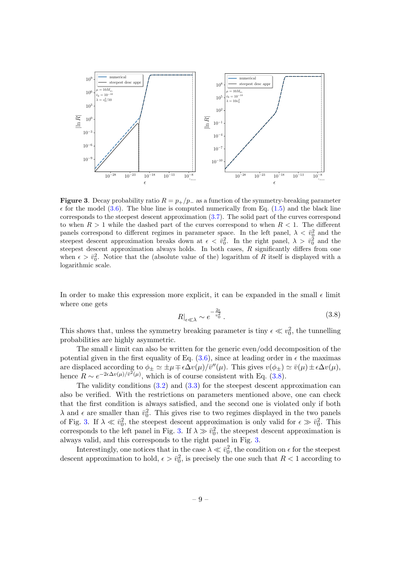

<span id="page-9-1"></span>**Figure 3.** Decay probability ratio  $R = p_{+}/p_{-}$  as a function of the symmetry-breaking parameter  $\epsilon$  for the model [\(3.6\)](#page-8-4). The blue line is computed numerically from Eq. [\(1.5\)](#page-3-2) and the black line corresponds to the steepest descent approximation [\(3.7\)](#page-8-5). The solid part of the curves correspond to when  $R > 1$  while the dashed part of the curves correspond to when  $R < 1$ . The different panels correspond to different regimes in parameter space. In the left panel,  $\lambda < \bar{v}_0^2$  and the steepest descent approximation breaks down at  $\epsilon < \bar{v}_0^2$ . In the right panel,  $\lambda > \bar{v}_0^2$  and the steepest descent approximation always holds. In both cases,  $R$  significantly differs from one when  $\epsilon > \bar{v}_0^2$ . Notice that the (absolute value of the) logarithm of R itself is displayed with a logarithmic scale.

In order to make this expression more explicit, it can be expanded in the small  $\epsilon$  limit where one gets

<span id="page-9-0"></span>
$$
R|_{\epsilon \ll \lambda} \sim e^{-\frac{2\epsilon}{v_0^2}}.
$$
\n(3.8)

This shows that, unless the symmetry breaking parameter is tiny  $\epsilon \ll v_0^2$ , the tunnelling probabilities are highly asymmetric.

The small  $\epsilon$  limit can also be written for the generic even/odd decomposition of the potential given in the first equality of Eq.  $(3.6)$ , since at leading order in  $\epsilon$  the maximas are displaced according to  $\phi_{\pm} \simeq \pm \mu \mp \epsilon \Delta v(\mu) / \bar{v}''(\mu)$ . This gives  $v(\phi_{\pm}) \simeq \bar{v}(\mu) \pm \epsilon \Delta v(\mu)$ , hence  $R \sim e^{-2\epsilon \Delta v(\mu)/\bar{v}^2(\mu)}$ , which is of course consistent with Eq. [\(3.8\)](#page-9-0).

The validity conditions  $(3.2)$  and  $(3.3)$  for the steepest descent approximation can also be verified. With the restrictions on parameters mentioned above, one can check that the first condition is always satisfied, and the second one is violated only if both  $\lambda$  and  $\epsilon$  are smaller than  $\bar{v}_0^2$ . This gives rise to two regimes displayed in the two panels of Fig. [3.](#page-9-1) If  $\lambda \ll \bar{v}_0^2$ , the steepest descent approximation is only valid for  $\epsilon \gg \bar{v}_0^2$ . This corresponds to the left panel in Fig. [3.](#page-9-1) If  $\lambda \gg \bar{v}_0^2$ , the steepest descent approximation is always valid, and this corresponds to the right panel in Fig. [3.](#page-9-1)

Interestingly, one notices that in the case  $\lambda \ll \bar{v}_0^2$ , the condition on  $\epsilon$  for the steepest descent approximation to hold,  $\epsilon > \bar{v}_0^2$ , is precisely the one such that  $R < 1$  according to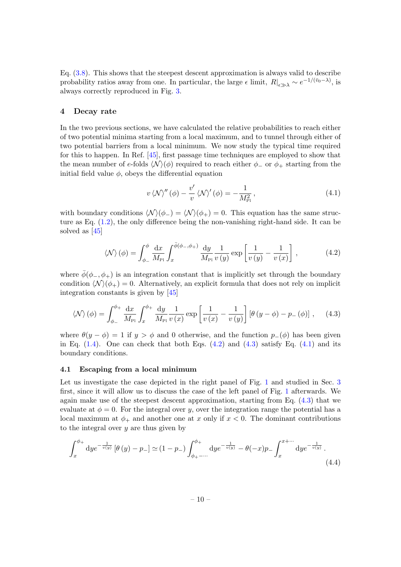Eq. [\(3.8\)](#page-9-0). This shows that the steepest descent approximation is always valid to describe probability ratios away from one. In particular, the large  $\epsilon$  limit,  $R|_{\epsilon \gg \lambda} \sim e^{-1/(\bar{v}_0 - \lambda)}$ , is always correctly reproduced in Fig. [3.](#page-9-1)

# <span id="page-10-0"></span>4 Decay rate

In the two previous sections, we have calculated the relative probabilities to reach either of two potential minima starting from a local maximum, and to tunnel through either of two potential barriers from a local minimum. We now study the typical time required for this to happen. In Ref. [\[45\]](#page-24-3), first passage time techniques are employed to show that the mean number of e-folds  $\langle \mathcal{N} \rangle(\phi)$  required to reach either  $\phi_-$  or  $\phi_+$  starting from the initial field value  $\phi$ , obeys the differential equation

<span id="page-10-4"></span>
$$
v \langle \mathcal{N} \rangle''(\phi) - \frac{v'}{v} \langle \mathcal{N} \rangle'(\phi) = -\frac{1}{M_{\rm Pl}^2},\tag{4.1}
$$

with boundary conditions  $\langle \mathcal{N} \rangle (\phi_-) = \langle \mathcal{N} \rangle (\phi_+) = 0$ . This equation has the same structure as Eq.  $(1.2)$ , the only difference being the non-vanishing right-hand side. It can be solved as [\[45\]](#page-24-3)

<span id="page-10-2"></span>
$$
\langle \mathcal{N} \rangle \left( \phi \right) = \int_{\phi_{-}}^{\phi} \frac{\mathrm{d}x}{M_{\text{Pl}}} \int_{x}^{\bar{\phi}(\phi_{-}, \phi_{+})} \frac{\mathrm{d}y}{M_{\text{Pl}}} \frac{1}{v \left( y \right)} \exp \left[ \frac{1}{v \left( y \right)} - \frac{1}{v \left( x \right)} \right], \tag{4.2}
$$

where  $\bar{\phi}(\phi_-, \phi_+)$  is an integration constant that is implicitly set through the boundary condition  $\langle N \rangle (\phi_+) = 0$ . Alternatively, an explicit formula that does not rely on implicit integration constants is given by [\[45\]](#page-24-3)

<span id="page-10-3"></span>
$$
\langle \mathcal{N} \rangle \left( \phi \right) = \int_{\phi_{-}}^{\phi_{+}} \frac{\mathrm{d}x}{M_{\text{Pl}}} \int_{x}^{\phi_{+}} \frac{\mathrm{d}y}{M_{\text{Pl}}} \frac{1}{v \left( x \right)} \exp \left[ \frac{1}{v \left( x \right)} - \frac{1}{v \left( y \right)} \right] \left[ \theta \left( y - \phi \right) - p_{-} \left( \phi \right) \right], \quad (4.3)
$$

where  $\theta(y - \phi) = 1$  if  $y > \phi$  and 0 otherwise, and the function  $p_-(\phi)$  has been given in Eq.  $(1.4)$ . One can check that both Eqs.  $(4.2)$  and  $(4.3)$  satisfy Eq.  $(4.1)$  and its boundary conditions.

#### <span id="page-10-1"></span>4.1 Escaping from a local minimum

Let us investigate the case depicted in the right panel of Fig. [1](#page-3-1) and studied in Sec. [3](#page-7-0) first, since it will allow us to discuss the case of the left panel of Fig. [1](#page-3-1) afterwards. We again make use of the steepest descent approximation, starting from Eq. [\(4.3\)](#page-10-3) that we evaluate at  $\phi = 0$ . For the integral over y, over the integration range the potential has a local maximum at  $\phi_+$  and another one at x only if  $x < 0$ . The dominant contributions to the integral over  $y$  are thus given by

$$
\int_{x}^{\phi_{+}} \mathrm{d}y e^{-\frac{1}{v(y)}} \left[ \theta \left( y \right) - p_{-} \right] \simeq (1 - p_{-}) \int_{\phi_{+} - \cdots}^{\phi_{+}} \mathrm{d}y e^{-\frac{1}{v(y)}} - \theta (-x) p_{-} \int_{x}^{x + \cdots} \mathrm{d}y e^{-\frac{1}{v(y)}} . \tag{4.4}
$$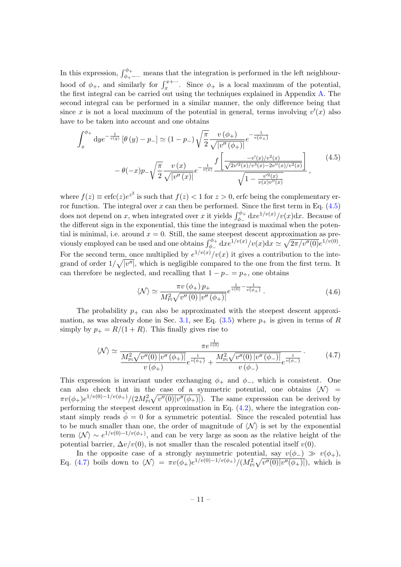In this expression,  $\int_{\phi_{+}}^{\phi_{+}}$  means that the integration is performed in the left neighbourhood of  $\phi_+$ , and similarly for  $\int_x^{x+\cdots}$ . Since  $\phi_+$  is a local maximum of the potential, the first integral can be carried out using the techniques explained in Appendix [A.](#page-17-0) The second integral can be performed in a similar manner, the only difference being that since x is not a local maximum of the potential in general, terms involving  $v'(x)$  also have to be taken into account and one obtains

<span id="page-11-0"></span>
$$
\int_{x}^{\phi_{+}} \mathrm{d}y e^{-\frac{1}{v(y)}} \left[\theta\left(y\right) - p_{-}\right] \simeq (1 - p_{-}) \sqrt{\frac{\pi}{2}} \frac{v\left(\phi_{+}\right)}{\sqrt{|v''\left(\phi_{+}\right)|}} e^{-\frac{1}{v\left(\phi_{+}\right)}} \n- \theta(-x) p_{-} \sqrt{\frac{\pi}{2}} \frac{v\left(x\right)}{\sqrt{|v''\left(x\right)|}} e^{-\frac{1}{v(x)}} \frac{\int \left[\frac{-v'(x)/v^{2}(x)}{\sqrt{2v'^{2}(x)/v^{3}(x) - 2v''(x)/v^{2}(x)}}\right]}{\sqrt{1 - \frac{v'^{2}(x)}{v(x)v''(x)}}},
$$
\n(4.5)

where  $f(z) \equiv \text{erfc}(z)e^{z^2}$  is such that  $f(z) < 1$  for  $z > 0$ , erfc being the complementary error function. The integral over  $x$  can then be performed. Since the first term in Eq.  $(4.5)$ does not depend on x, when integrated over x it yields  $\int_{\phi_-}^{\phi_+} dx e^{1/v(x)}/v(x) dx$ . Because of the different sign in the exponential, this time the integrand is maximal when the potential is minimal, i.e. around  $x = 0$ . Still, the same steepest descent approximation as previously employed can be used and one obtains  $\int_{\phi_-}^{\phi_+} dx e^{1/v(x)}/v(x) dx \simeq \sqrt{2\pi/v''(0)} e^{1/v(0)}$ . For the second term, once multiplied by  $e^{1/v(x)}/v(x)$  it gives a contribution to the integrand of order  $1/\sqrt{|v''|}$ , which is negligible compared to the one from the first term. It can therefore be neglected, and recalling that  $1 - p_+ = p_+$ , one obtains

$$
\langle \mathcal{N} \rangle \simeq \frac{\pi v \, (\phi_+) \, p_+}{M_{\rm Pl}^2 \sqrt{v'' \, (0) \, |v'' \, (\phi_+)|}} e^{\frac{1}{v(0)} - \frac{1}{v(\phi_+)}} \,. \tag{4.6}
$$

The probability  $p_+$  can also be approximated with the steepest descent approxi-mation, as was already done in Sec. [3.1,](#page-7-1) see Eq.  $(3.5)$  where  $p_{+}$  is given in terms of R simply by  $p_+ = R/(1 + R)$ . This finally gives rise to

<span id="page-11-1"></span>
$$
\langle \mathcal{N} \rangle \simeq \frac{\pi e^{\frac{1}{v(0)}}}{\frac{M_{\rm Pl}^2 \sqrt{v''(0) \, |v''(\phi_+)|}}{v(\phi_+)} e^{\frac{1}{v(\phi_+)} + \frac{M_{\rm Pl}^2 \sqrt{v''(0) \, |v''(\phi_-)|}}{v(\phi_-)} e^{\frac{1}{v(\phi_-)}}}.
$$
(4.7)

This expression is invariant under exchanging  $\phi_+$  and  $\phi_-$ , which is consistent. One can also check that in the case of a symmetric potential, one obtains  $\langle N \rangle$  =  $\pi v(\phi_+)e^{1/v(0)-1/v(\phi_+)}/(2M_{\rm Pl}^2\sqrt{v''(0)|v''(\phi_+)|})$ . The same expression can be derived by performing the steepest descent approximation in Eq. [\(4.2\)](#page-10-2), where the integration constant simply reads  $\bar{\phi} = 0$  for a symmetric potential. Since the rescaled potential has to be much smaller than one, the order of magnitude of  $\langle N \rangle$  is set by the exponential term  $\langle N \rangle \sim e^{1/v(0)-1/v(\phi_+)}$ , and can be very large as soon as the relative height of the potential barrier,  $\Delta v/v(0)$ , is not smaller than the rescaled potential itself  $v(0)$ .

In the opposite case of a strongly asymmetric potential, say  $v(\phi_-) \gg v(\phi_+),$ Eq. [\(4.7\)](#page-11-1) boils down to  $\langle N \rangle = \pi v(\phi_+)e^{1/v(0)-1/v(\phi_+)}/(M_{\rm Pl}^2\sqrt{v''(0)|v''(\phi_+)|})$ , which is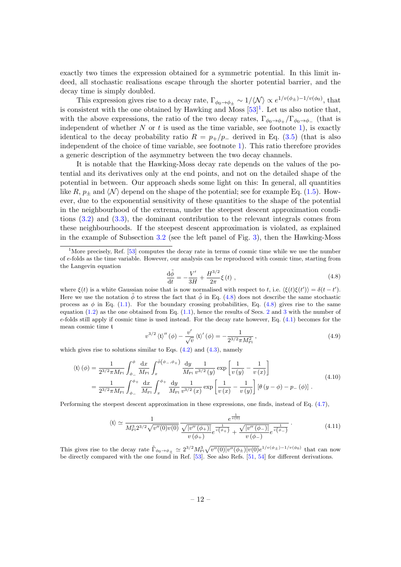exactly two times the expression obtained for a symmetric potential. In this limit indeed, all stochastic realisations escape through the shorter potential barrier, and the decay time is simply doubled.

This expression gives rise to a decay rate,  $\Gamma_{\phi_0 \to \phi_{\pm}} \sim 1/\langle \mathcal{N} \rangle \propto e^{1/v(\phi_{\pm})-1/v(\phi_0)},$  that is consistent with the one obtained by Hawking and Moss  $[53]$ <sup>[1](#page-12-0)</sup>. Let us also notice that, with the above expressions, the ratio of the two decay rates,  $\Gamma_{\phi_0 \to \phi_+}/\Gamma_{\phi_0 \to \phi_-}$  (that is independent of whether  $N$  or  $t$  is used as the time variable, see footnote [1\)](#page-12-1), is exactly identical to the decay probability ratio  $R = p_{+}/p_{-}$  derived in Eq. [\(3.5\)](#page-8-3) (that is also independent of the choice of time variable, see footnote [1\)](#page-12-1). This ratio therefore provides a generic description of the asymmetry between the two decay channels.

It is notable that the Hawking-Moss decay rate depends on the values of the potential and its derivatives only at the end points, and not on the detailed shape of the potential in between. Our approach sheds some light on this: In general, all quantities like R,  $p_{\pm}$  and  $\langle N \rangle$  depend on the shape of the potential; see for example Eq. [\(1.5\)](#page-3-2). However, due to the exponential sensitivity of these quantities to the shape of the potential in the neighbourhood of the extrema, under the steepest descent approximation conditions [\(3.2\)](#page-7-3) and [\(3.3\)](#page-8-2), the dominant contribution to the relevant integrals comes from these neighbourhoods. If the steepest descent approximation is violated, as explained in the example of Subsection [3.2](#page-8-0) (see the left panel of Fig. [3\)](#page-9-1), then the Hawking-Moss

<span id="page-12-2"></span>
$$
\frac{\mathrm{d}\tilde{\phi}}{\mathrm{d}t} = -\frac{V'}{3H} + \frac{H^{3/2}}{2\pi}\xi\,(t) \;, \tag{4.8}
$$

where  $\xi(t)$  is a white Gaussian noise that is now normalised with respect to t, i.e.  $\langle \xi(t)\xi(t') \rangle = \delta(t-t')$ . Here we use the notation  $\phi$  to stress the fact that  $\phi$  in Eq. [\(4.8\)](#page-12-2) does not describe the same stochastic process as  $\phi$  in Eq. [\(1.1\)](#page-1-1). For the boundary crossing probabilities, Eq. [\(4.8\)](#page-12-2) gives rise to the same equation [\(1.2\)](#page-2-1) as the one obtained from Eq. [\(1.1\)](#page-1-1), hence the results of Secs. [2](#page-3-0) and [3](#page-7-0) with the number of e-folds still apply if cosmic time is used instead. For the decay rate however, Eq.  $(4.1)$  becomes for the mean cosmic time t

$$
v^{3/2} \langle \mathfrak{t} \rangle''(\phi) - \frac{v'}{\sqrt{v}} \langle \mathfrak{t} \rangle'(\phi) = -\frac{1}{2^{3/2} \pi M_{\text{Pl}}^2}, \tag{4.9}
$$

which gives rise to solutions similar to Eqs.  $(4.2)$  and  $(4.3)$ , namely

$$
\langle \mathfrak{t} \rangle (\phi) = \frac{1}{2^{3/2} \pi M_{\text{Pl}}} \int_{\phi_{-}}^{\phi} \frac{\mathrm{d}x}{M_{\text{Pl}}} \int_{x}^{\bar{\phi}(\phi_{-}, \phi_{+})} \frac{\mathrm{d}y}{M_{\text{Pl}}} \frac{1}{v^{3/2}(y)} \exp\left[\frac{1}{v(y)} - \frac{1}{v(x)}\right]
$$
  
= 
$$
\frac{1}{2^{3/2} \pi M_{\text{Pl}}} \int_{\phi_{-}}^{\phi_{+}} \frac{\mathrm{d}x}{M_{\text{Pl}}} \int_{x}^{\phi_{+}} \frac{\mathrm{d}y}{M_{\text{Pl}}} \frac{1}{v^{3/2}(x)} \exp\left[\frac{1}{v(x)} - \frac{1}{v(y)}\right] \left[\theta(y - \phi) - p_{-}(\phi)\right].
$$
 (4.10)

Performing the steepest descent approximation in these expressions, one finds, instead of Eq. [\(4.7\)](#page-11-1),

<span id="page-12-1"></span>
$$
\langle \mathfrak{t} \rangle \simeq \frac{1}{M_{\rm Pl}^3 2^{3/2} \sqrt{v''(0) v(0)}} \frac{e^{\frac{1}{v(0)}}}{\sqrt{|v''(\phi_+)|}} e^{\frac{1}{v(\phi_+)} + \frac{\sqrt{|v''(\phi_-)|}}{v(\phi_-)} e^{\frac{1}{v(\phi_-)}}}.
$$
(4.11)

This gives rise to the decay rate  $\tilde{\Gamma}_{\phi_0 \to \phi_{\pm}} \simeq 2^{3/2} M_{\rm Pl}^3 \sqrt{v''(0) |v''(\phi_{\pm})| v(0)} e^{1/v(\phi_{\pm})-1/v(\phi_0)}$  that can now be directly compared with the one found in Ref. [\[53\]](#page-24-5). See also Refs. [\[51,](#page-24-1) [54\]](#page-24-6) for different derivations.

<span id="page-12-0"></span><sup>&</sup>lt;sup>1</sup>More precisely, Ref. [\[53\]](#page-24-5) computes the decay rate in terms of cosmic time while we use the number of e-folds as the time variable. However, our analysis can be reproduced with cosmic time, starting from the Langevin equation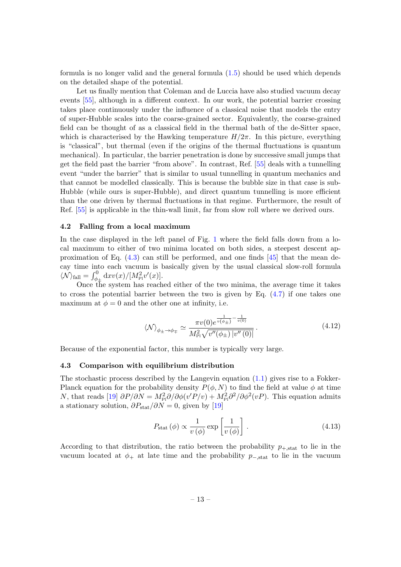formula is no longer valid and the general formula [\(1.5\)](#page-3-2) should be used which depends on the detailed shape of the potential.

Let us finally mention that Coleman and de Luccia have also studied vacuum decay events [\[55\]](#page-24-7), although in a different context. In our work, the potential barrier crossing takes place continuously under the influence of a classical noise that models the entry of super-Hubble scales into the coarse-grained sector. Equivalently, the coarse-grained field can be thought of as a classical field in the thermal bath of the de-Sitter space, which is characterised by the Hawking temperature  $H/2\pi$ . In this picture, everything is "classical", but thermal (even if the origins of the thermal fluctuations is quantum mechanical). In particular, the barrier penetration is done by successive small jumps that get the field past the barrier "from above". In contrast, Ref. [\[55\]](#page-24-7) deals with a tunnelling event "under the barrier" that is similar to usual tunnelling in quantum mechanics and that cannot be modelled classically. This is because the bubble size in that case is sub-Hubble (while ours is super-Hubble), and direct quantum tunnelling is more efficient than the one driven by thermal fluctuations in that regime. Furthermore, the result of Ref. [\[55\]](#page-24-7) is applicable in the thin-wall limit, far from slow roll where we derived ours.

#### <span id="page-13-0"></span>4.2 Falling from a local maximum

In the case displayed in the left panel of Fig. [1](#page-3-1) where the field falls down from a local maximum to either of two minima located on both sides, a steepest descent approximation of Eq.  $(4.3)$  can still be performed, and one finds  $[45]$  that the mean decay time into each vacuum is basically given by the usual classical slow-roll formula  $\langle \mathcal{N} \rangle_{\rm fall} = \int_{\phi_{\pm}}^{0} {\rm d}x v(x)/[M_{\rm Pl}^2 v'(x)].$ 

Once the system has reached either of the two minima, the average time it takes to cross the potential barrier between the two is given by Eq. [\(4.7\)](#page-11-1) if one takes one maximum at  $\phi = 0$  and the other one at infinity, i.e.

<span id="page-13-2"></span>
$$
\langle \mathcal{N} \rangle_{\phi_{\pm} \to \phi_{\mp}} \simeq \frac{\pi v(0) e^{\frac{1}{v(\phi_{\pm})} - \frac{1}{v(0)}}}{M_{\rm Pl}^2 \sqrt{v''(\phi_{\pm}) \, |v''(0)|}} \,. \tag{4.12}
$$

Because of the exponential factor, this number is typically very large.

### <span id="page-13-1"></span>4.3 Comparison with equilibrium distribution

The stochastic process described by the Langevin equation  $(1.1)$  gives rise to a Fokker-Planck equation for the probability density  $P(\phi, N)$  to find the field at value  $\phi$  at time N, that reads [\[19\]](#page-22-5)  $\partial P/\partial N = M_{\rm Pl}^2 \partial/\partial \phi(v'P/v) + M_{\rm Pl}^2 \partial^2/\partial \phi^2(vP)$ . This equation admits a stationary solution,  $\partial P_{\text{stat}}/\partial N = 0$ , given by [\[19\]](#page-22-5)

<span id="page-13-3"></span>
$$
P_{\text{stat}}\left(\phi\right) \propto \frac{1}{v\left(\phi\right)} \exp\left[\frac{1}{v\left(\phi\right)}\right].\tag{4.13}
$$

According to that distribution, the ratio between the probability  $p_{+,\text{stat}}$  to lie in the vacuum located at  $\phi_+$  at late time and the probability  $p_{-,\text{stat}}$  to lie in the vacuum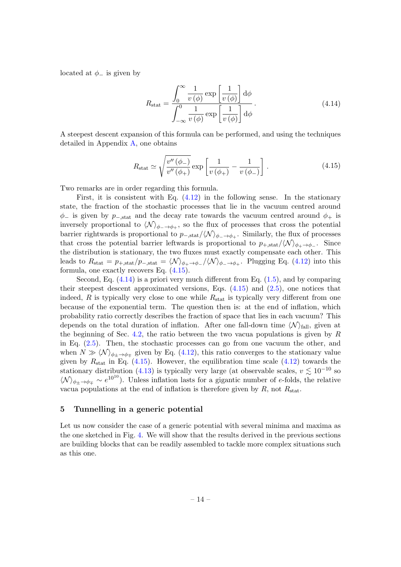located at  $\phi$ <sub>-</sub> is given by

<span id="page-14-2"></span>
$$
R_{\rm stat} = \frac{\int_0^\infty \frac{1}{v(\phi)} \exp\left[\frac{1}{v(\phi)}\right] d\phi}{\int_{-\infty}^0 \frac{1}{v(\phi)} \exp\left[\frac{1}{v(\phi)}\right] d\phi}.
$$
(4.14)

A steepest descent expansion of this formula can be performed, and using the techniques detailed in Appendix  $\bf{A}$ , one obtains

<span id="page-14-1"></span>
$$
R_{\rm stat} \simeq \sqrt{\frac{v''\left(\phi_{-}\right)}{v''\left(\phi_{+}\right)}} \exp\left[\frac{1}{v\left(\phi_{+}\right)} - \frac{1}{v\left(\phi_{-}\right)}\right]. \tag{4.15}
$$

Two remarks are in order regarding this formula.

First, it is consistent with Eq. [\(4.12\)](#page-13-2) in the following sense. In the stationary state, the fraction of the stochastic processes that lie in the vacuum centred around  $\phi$ – is given by p–,stat and the decay rate towards the vacuum centred around  $\phi$ + is inversely proportional to  $\langle N \rangle_{\phi_-\to\phi_+}$ , so the flux of processes that cross the potential barrier rightwards is proportional to  $p_{-,\text{stat}}/\langle N \rangle_{\phi_{-} \to \phi_{+}}$ . Similarly, the flux of processes that cross the potential barrier leftwards is proportional to  $p_{+,stat}/\langle N \rangle_{\phi_+\to\phi_-}$ . Since the distribution is stationary, the two fluxes must exactly compensate each other. This leads to  $R_{\text{stat}} = p_{+, \text{stat}}/p_{-, \text{stat}} = \langle \mathcal{N} \rangle_{\phi_+ \to \phi_-} / \langle \mathcal{N} \rangle_{\phi_- \to \phi_+}$ . Plugging Eq. [\(4.12\)](#page-13-2) into this formula, one exactly recovers Eq. [\(4.15\)](#page-14-1).

Second, Eq. [\(4.14\)](#page-14-2) is a priori very much different from Eq. [\(1.5\)](#page-3-2), and by comparing their steepest descent approximated versions, Eqs. [\(4.15\)](#page-14-1) and [\(2.5\)](#page-4-5), one notices that indeed,  $R$  is typically very close to one while  $R_{stat}$  is typically very different from one because of the exponential term. The question then is: at the end of inflation, which probability ratio correctly describes the fraction of space that lies in each vacuum? This depends on the total duration of inflation. After one fall-down time  $\langle \mathcal{N} \rangle_{\text{fall}}$ , given at the beginning of Sec. [4.2,](#page-13-0) the ratio between the two vacua populations is given by  $R$ in Eq. [\(2.5\)](#page-4-5). Then, the stochastic processes can go from one vacuum the other, and when  $N \gg \langle N \rangle_{\phi_{\pm} \to \phi_{\mp}}$  given by Eq. [\(4.12\)](#page-13-2), this ratio converges to the stationary value given by  $R_{\text{stat}}$  in Eq. [\(4.15\)](#page-14-1). However, the equilibration time scale [\(4.12\)](#page-13-2) towards the stationary distribution [\(4.13\)](#page-13-3) is typically very large (at observable scales,  $v \lesssim 10^{-10}$  so  $\langle \mathcal{N} \rangle_{\phi_{\pm} \to \phi_{\mp}} \sim e^{10^{10}}$ . Unless inflation lasts for a gigantic number of e-folds, the relative vacua populations at the end of inflation is therefore given by  $R$ , not  $R_{stat}$ .

### <span id="page-14-0"></span>5 Tunnelling in a generic potential

Let us now consider the case of a generic potential with several minima and maxima as the one sketched in Fig. [4.](#page-15-0) We will show that the results derived in the previous sections are building blocks that can be readily assembled to tackle more complex situations such as this one.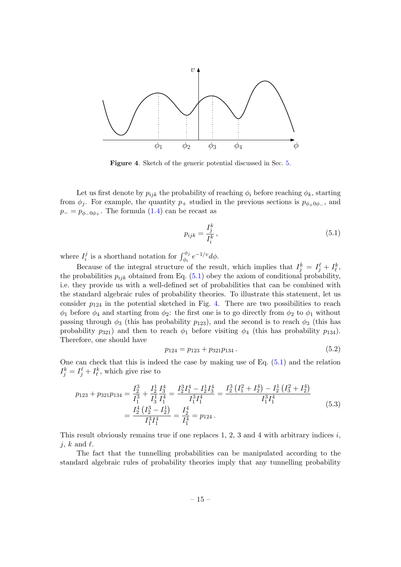

<span id="page-15-0"></span>Figure 4. Sketch of the generic potential discussed in Sec. [5.](#page-14-0)

Let us first denote by  $p_{ijk}$  the probability of reaching  $\phi_i$  before reaching  $\phi_k$ , starting from  $\phi_i$ . For example, the quantity  $p_+$  studied in the previous sections is  $p_{\phi_+\theta_{\phi_-}}$ , and  $p_-=p_{\phi=0\phi_+}$ . The formula  $(1.4)$  can be recast as

<span id="page-15-1"></span>
$$
p_{ijk} = \frac{I_j^k}{I_i^k},\tag{5.1}
$$

where  $I_i^j$  $i_i$  is a shorthand notation for  $\int_{\phi_i}^{\phi_j} e^{-1/v} d\phi$ .

Because of the integral structure of the result, which implies that  $I_j^k = I_j^\ell + I_\ell^k$ , the probabilities  $p_{ijk}$  obtained from Eq. [\(5.1\)](#page-15-1) obey the axiom of conditional probability, i.e. they provide us with a well-defined set of probabilities that can be combined with the standard algebraic rules of probability theories. To illustrate this statement, let us consider  $p_{124}$  in the potential sketched in Fig. [4.](#page-15-0) There are two possibilities to reach  $\phi_1$  before  $\phi_4$  and starting from  $\phi_2$ : the first one is to go directly from  $\phi_2$  to  $\phi_1$  without passing through  $\phi_3$  (this has probability  $p_{123}$ ), and the second is to reach  $\phi_3$  (this has probability  $p_{321}$ ) and then to reach  $\phi_1$  before visiting  $\phi_4$  (this has probability  $p_{134}$ ). Therefore, one should have

<span id="page-15-2"></span>
$$
p_{124} = p_{123} + p_{321}p_{134} \,. \tag{5.2}
$$

One can check that this is indeed the case by making use of Eq. [\(5.1\)](#page-15-1) and the relation  $I_j^k = I_j^{\ell} + I_{\ell}^k$ , which give rise to

$$
p_{123} + p_{321}p_{134} = \frac{I_2^3}{I_1^3} + \frac{I_2^1}{I_3^1} \frac{I_3^4}{I_1^4} = \frac{I_2^3 I_1^4 - I_2^1 I_3^4}{I_1^3 I_1^4} = \frac{I_2^3 (I_1^2 + I_2^4) - I_2^1 (I_3^2 + I_2^4)}{I_1^3 I_1^4}
$$
  
= 
$$
\frac{I_2^4 (I_2^3 - I_2^1)}{I_1^3 I_1^4} = \frac{I_2^4}{I_1^4} = p_{124}.
$$
 (5.3)

This result obviously remains true if one replaces 1, 2, 3 and 4 with arbitrary indices  $i$ , j, k and  $\ell$ .

The fact that the tunnelling probabilities can be manipulated according to the standard algebraic rules of probability theories imply that any tunnelling probability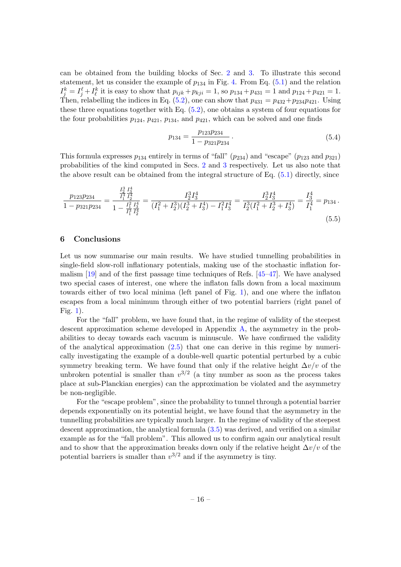can be obtained from the building blocks of Sec. [2](#page-3-0) and [3.](#page-7-0) To illustrate this second statement, let us consider the example of  $p_{134}$  in Fig. [4.](#page-15-0) From Eq. [\(5.1\)](#page-15-1) and the relation  $I_j^k = I_j^{\ell} + I_{\ell}^k$  it is easy to show that  $p_{ijk} + p_{kji} = 1$ , so  $p_{134} + p_{431} = 1$  and  $p_{124} + p_{421} = 1$ . Then, relabelling the indices in Eq.  $(5.2)$ , one can show that  $p_{431} = p_{432} + p_{234}p_{421}$ . Using these three equations together with Eq.  $(5.2)$ , one obtains a system of four equations for the four probabilities  $p_{124}$ ,  $p_{421}$ ,  $p_{134}$ , and  $p_{421}$ , which can be solved and one finds

$$
p_{134} = \frac{p_{123}p_{234}}{1 - p_{321}p_{234}}.
$$
\n(5.4)

This formula expresses  $p_{134}$  entirely in terms of "fall"  $(p_{234})$  and "escape"  $(p_{123}$  and  $p_{321})$ probabilities of the kind computed in Secs. [2](#page-3-0) and [3](#page-7-0) respectively. Let us also note that the above result can be obtained from the integral structure of Eq.  $(5.1)$  directly, since

$$
\frac{p_{123}p_{234}}{1 - p_{321}p_{234}} = \frac{\frac{I_2^3}{I_1^3} \frac{I_3^4}{I_2^4}}{1 - \frac{I_1^2}{I_1^3} \frac{I_3^4}{I_2^4}} = \frac{I_2^3 I_3^4}{(I_1^2 + I_2^3)(I_2^3 + I_3^4) - I_1^2 I_3^4} = \frac{I_2^3 I_3^4}{I_2^3 (I_1^2 + I_2^3 + I_3^4)} = \frac{I_3^4}{I_1^4} = p_{134}.
$$
\n
$$
(5.5)
$$

## <span id="page-16-0"></span>6 Conclusions

Let us now summarise our main results. We have studied tunnelling probabilities in single-field slow-roll inflationary potentials, making use of the stochastic inflation formalism [\[19\]](#page-22-5) and of the first passage time techniques of Refs. [\[45–](#page-24-3)[47\]](#page-24-4). We have analysed two special cases of interest, one where the inflaton falls down from a local maximum towards either of two local minima (left panel of Fig. [1\)](#page-3-1), and one where the inflaton escapes from a local minimum through either of two potential barriers (right panel of Fig. [1\)](#page-3-1).

For the "fall" problem, we have found that, in the regime of validity of the steepest descent approximation scheme developed in Appendix [A,](#page-17-0) the asymmetry in the probabilities to decay towards each vacuum is minuscule. We have confirmed the validity of the analytical approximation  $(2.5)$  that one can derive in this regime by numerically investigating the example of a double-well quartic potential perturbed by a cubic symmetry breaking term. We have found that only if the relative height  $\Delta v/v$  of the unbroken potential is smaller than  $v^{3/2}$  (a tiny number as soon as the process takes place at sub-Planckian energies) can the approximation be violated and the asymmetry be non-negligible.

For the "escape problem", since the probability to tunnel through a potential barrier depends exponentially on its potential height, we have found that the asymmetry in the tunnelling probabilities are typically much larger. In the regime of validity of the steepest descent approximation, the analytical formula [\(3.5\)](#page-8-3) was derived, and verified on a similar example as for the "fall problem". This allowed us to confirm again our analytical result and to show that the approximation breaks down only if the relative height  $\Delta v/v$  of the potential barriers is smaller than  $v^{3/2}$  and if the asymmetry is tiny.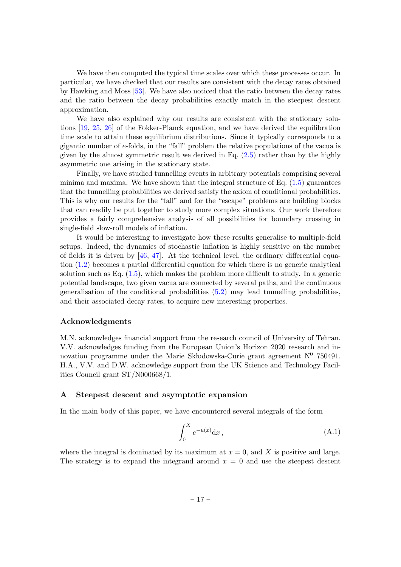We have then computed the typical time scales over which these processes occur. In particular, we have checked that our results are consistent with the decay rates obtained by Hawking and Moss [\[53\]](#page-24-5). We have also noticed that the ratio between the decay rates and the ratio between the decay probabilities exactly match in the steepest descent approximation.

We have also explained why our results are consistent with the stationary solutions [\[19,](#page-22-5) [25,](#page-22-6) [26\]](#page-23-0) of the Fokker-Planck equation, and we have derived the equilibration time scale to attain these equilibrium distributions. Since it typically corresponds to a gigantic number of e-folds, in the "fall" problem the relative populations of the vacua is given by the almost symmetric result we derived in Eq. [\(2.5\)](#page-4-5) rather than by the highly asymmetric one arising in the stationary state.

Finally, we have studied tunnelling events in arbitrary potentials comprising several minima and maxima. We have shown that the integral structure of Eq.  $(1.5)$  guarantees that the tunnelling probabilities we derived satisfy the axiom of conditional probabilities. This is why our results for the "fall" and for the "escape" problems are building blocks that can readily be put together to study more complex situations. Our work therefore provides a fairly comprehensive analysis of all possibilities for boundary crossing in single-field slow-roll models of inflation.

It would be interesting to investigate how these results generalise to multiple-field setups. Indeed, the dynamics of stochastic inflation is highly sensitive on the number of fields it is driven by  $[46, 47]$  $[46, 47]$ . At the technical level, the ordinary differential equation [\(1.2\)](#page-2-1) becomes a partial differential equation for which there is no generic analytical solution such as Eq. [\(1.5\)](#page-3-2), which makes the problem more difficult to study. In a generic potential landscape, two given vacua are connected by several paths, and the continuous generalisation of the conditional probabilities  $(5.2)$  may lead tunnelling probabilities, and their associated decay rates, to acquire new interesting properties.

## Acknowledgments

M.N. acknowledges financial support from the research council of University of Tehran. V.V. acknowledges funding from the European Union's Horizon 2020 research and innovation programme under the Marie Sk bodowska-Curie grant agreement  $N^0$  750491. H.A., V.V. and D.W. acknowledge support from the UK Science and Technology Facilities Council grant ST/N000668/1.

# <span id="page-17-0"></span>A Steepest descent and asymptotic expansion

In the main body of this paper, we have encountered several integrals of the form

$$
\int_0^X e^{-u(x)} \mathrm{d}x \,,\tag{A.1}
$$

where the integral is dominated by its maximum at  $x = 0$ , and X is positive and large. The strategy is to expand the integrand around  $x = 0$  and use the steepest descent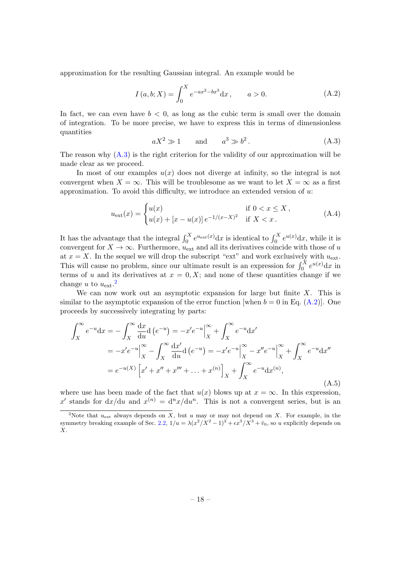approximation for the resulting Gaussian integral. An example would be

<span id="page-18-2"></span>
$$
I(a, b; X) = \int_0^X e^{-ax^2 - bx^3} dx, \qquad a > 0.
$$
 (A.2)

In fact, we can even have  $b < 0$ , as long as the cubic term is small over the domain of integration. To be more precise, we have to express this in terms of dimensionless quantities

<span id="page-18-0"></span>
$$
aX^2 \gg 1 \qquad \text{and} \qquad a^3 \gg b^2. \tag{A.3}
$$

The reason why  $(A.3)$  is the right criterion for the validity of our approximation will be made clear as we proceed.

In most of our examples  $u(x)$  does not diverge at infinity, so the integral is not convergent when  $X = \infty$ . This will be troublesome as we want to let  $X = \infty$  as a first approximation. To avoid this difficulty, we introduce an extended version of  $u$ :

$$
u_{\text{ext}}(x) = \begin{cases} u(x) & \text{if } 0 < x \le X, \\ u(x) + [x - u(x)]e^{-1/(x - X)^2} & \text{if } X < x. \end{cases}
$$
 (A.4)

It has the advantage that the integral  $\int_0^X e^{u_{\text{ext}}(x)} dx$  is identical to  $\int_0^X e^{u(x)} dx$ , while it is convergent for  $X \to \infty$ . Furthermore,  $u_{\text{ext}}$  and all its derivatives coincide with those of u at  $x = X$ . In the sequel we will drop the subscript "ext" and work exclusively with  $u_{\text{ext}}$ . This will cause no problem, since our ultimate result is an expression for  $\int_0^X e^{u(x)} dx$  in terms of u and its derivatives at  $x = 0, X$ ; and none of these quantities change if we change u to  $u_{\text{ext}}$ .<sup>[2](#page-18-1)</sup>

We can now work out an asymptotic expansion for large but finite  $X$ . This is similar to the asymptotic expansion of the error function [when  $b = 0$  in Eq. [\(A.2\)](#page-18-2)]. One proceeds by successively integrating by parts:

<span id="page-18-3"></span>
$$
\int_{X}^{\infty} e^{-u} dx = -\int_{X}^{\infty} \frac{dx}{du} d(e^{-u}) = -x'e^{-u}\Big|_{X}^{\infty} + \int_{X}^{\infty} e^{-u} dx'\n= -x'e^{-u}\Big|_{X}^{\infty} - \int_{X}^{\infty} \frac{dx'}{du} d(e^{-u}) = -x'e^{-u}\Big|_{X}^{\infty} - x''e^{-u}\Big|_{X}^{\infty} + \int_{X}^{\infty} e^{-u} dx''\n= e^{-u(X)} \Big[x' + x'' + x''' + \dots + x^{(n)}\Big]_{X} + \int_{X}^{\infty} e^{-u} dx^{(n)},
$$
\n(A.5)

where use has been made of the fact that  $u(x)$  blows up at  $x = \infty$ . In this expression, x' stands for  $dx/du$  and  $x^{(n)} = d^n x/du^n$ . This is not a convergent series, but is an

<span id="page-18-1"></span><sup>&</sup>lt;sup>2</sup>Note that  $u_{\text{ext}}$  always depends on X, but u may or may not depend on X. For example, in the symmetry breaking example of Sec. [2.2,](#page-4-1)  $1/u = \lambda (x^2/X^2 - 1)^2 + \epsilon x^3/X^3 + \bar{v}_0$ , so u explicitly depends on  $X_{\cdot}$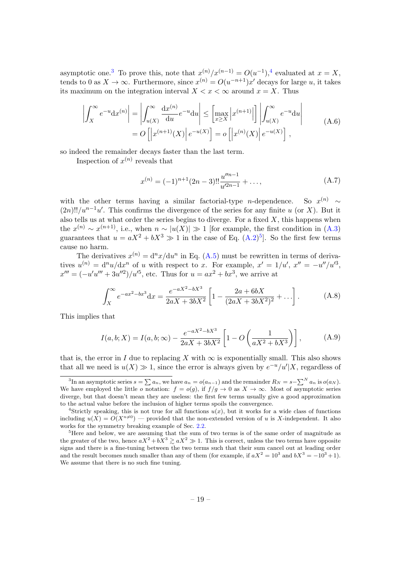asymptotic one.<sup>[3](#page-19-0)</sup> To prove this, note that  $x^{(n)}/x^{(n-1)} = O(u^{-1})$ ,<sup>[4](#page-19-1)</sup> evaluated at  $x = X$ , tends to 0 as  $X \to \infty$ . Furthermore, since  $x^{(n)} = O(u^{-n+1})x'$  decays for large u, it takes its maximum on the integration interval  $X < x < \infty$  around  $x = X$ . Thus

$$
\left| \int_{X}^{\infty} e^{-u} dx^{(n)} \right| = \left| \int_{u(X)}^{\infty} \frac{dx^{(n)}}{du} e^{-u} du \right| \leq \left[ \max_{x \geq X} \left| x^{(n+1)} \right| \right] \left| \int_{u(X)}^{\infty} e^{-u} du \right|
$$
\n
$$
= O\left[ \left| x^{(n+1)}(X) \right| e^{-u(X)} \right] = o\left[ \left| x^{(n)}(X) \right| e^{-u(X)} \right],
$$
\n(A.6)

so indeed the remainder decays faster than the last term.

Inspection of  $x^{(n)}$  reveals that

$$
x^{(n)} = (-1)^{n+1} (2n-3)!! \frac{u''^{n-1}}{u'^{2n-1}} + \dots,
$$
 (A.7)

with the other terms having a similar factorial-type  $n$ -dependence. So  $x^{(n)}$  ~  $(2n)!!/u^{n-1}u'$ . This confirms the divergence of the series for any finite u (or X). But it also tells us at what order the series begins to diverge. For a fixed  $X$ , this happens when the  $x^{(n)} \sim x^{(n+1)}$ , i.e., when  $n \sim |u(X)| \gg 1$  [for example, the first condition in [\(A.3\)](#page-18-0) guarantees that  $u = aX^2 + bX^3 \gg 1$  in the case of Eq.  $(A.2)^5$  $(A.2)^5$ . So the first few terms cause no harm.

The derivatives  $x^{(n)} = d^n x/du^n$  in Eq. [\(A.5\)](#page-18-3) must be rewritten in terms of derivatives  $u^{(n)} = d^n u/dx^n$  of u with respect to x. For example,  $x' = 1/u'$ ,  $x'' = -u''/u'^3$ ,  $x''' = (-u'u''' + 3u''^2)/u'^5$ , etc. Thus for  $u = ax^2 + bx^3$ , we arrive at

$$
\int_X^{\infty} e^{-ax^2 - bx^3} dx = \frac{e^{-aX^2 - bX^3}}{2aX + 3bX^2} \left[ 1 - \frac{2a + 6bX}{(2aX + 3bX^2)^2} + \dots \right].
$$
 (A.8)

This implies that

$$
I(a, b; X) = I(a, b; \infty) - \frac{e^{-aX^2 - bX^3}}{2aX + 3bX^2} \left[ 1 - O\left(\frac{1}{aX^2 + bX^3}\right) \right],
$$
 (A.9)

that is, the error in I due to replacing X with  $\infty$  is exponentially small. This also shows that all we need is  $u(X) \gg 1$ , since the error is always given by  $e^{-u}/u'|X$ , regardless of

<span id="page-19-0"></span><sup>&</sup>lt;sup>3</sup>In an asymptotic series  $s = \sum a_n$ , we have  $a_n = o(a_{n-1})$  and the remainder  $R_N = s - \sum^N a_n$  is  $o(a_N)$ . We have employed the little o notation:  $f = o(g)$ , if  $f/g \to 0$  as  $X \to \infty$ . Most of asymptotic series diverge, but that doesn't mean they are useless: the first few terms usually give a good approximation to the actual value before the inclusion of higher terms spoils the convergence.

<span id="page-19-1"></span><sup>&</sup>lt;sup>4</sup>Strictly speaking, this is not true for all functions  $u(x)$ , but it works for a wide class of functions including  $u(X) = O(X^{n\neq0})$  — provided that the non-extended version of u is X-independent. It also works for the symmetry breaking example of Sec. [2.2.](#page-4-1)

<span id="page-19-2"></span><sup>&</sup>lt;sup>5</sup>Here and below, we are assuming that the sum of two terms is of the same order of magnitude as the greater of the two, hence  $aX^2 + bX^3 \ge aX^2 \gg 1$ . This is correct, unless the two terms have opposite signs and there is a fine-tuning between the two terms such that their sum cancel out at leading order and the result becomes much smaller than any of them (for example, if  $aX^2 = 10^3$  and  $bX^3 = -10^3 + 1$ ). We assume that there is no such fine tuning.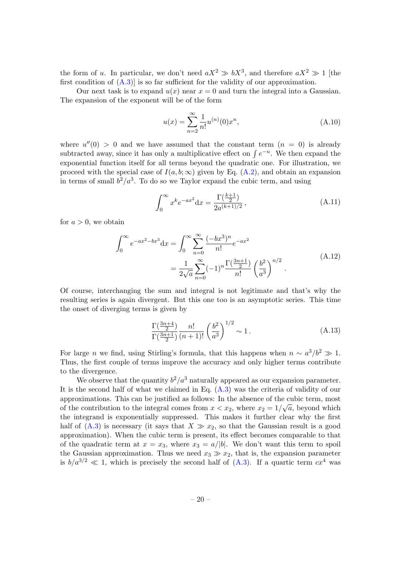the form of u. In particular, we don't need  $aX^2 \gg bX^3$ , and therefore  $aX^2 \gg 1$  [the first condition of  $(A.3)$  is so far sufficient for the validity of our approximation.

Our next task is to expand  $u(x)$  near  $x = 0$  and turn the integral into a Gaussian. The expansion of the exponent will be of the form

<span id="page-20-0"></span>
$$
u(x) = \sum_{n=2}^{\infty} \frac{1}{n!} u^{(n)}(0) x^n,
$$
\n(A.10)

where  $u''(0) > 0$  and we have assumed that the constant term  $(n = 0)$  is already subtracted away, since it has only a multiplicative effect on  $\int e^{-u}$ . We then expand the exponential function itself for all terms beyond the quadratic one. For illustration, we proceed with the special case of  $I(a, b; \infty)$  given by Eq. [\(A.2\)](#page-18-2), and obtain an expansion in terms of small  $b^2/a^3$ . To do so we Taylor expand the cubic term, and using

$$
\int_0^\infty x^k e^{-ax^2} dx = \frac{\Gamma(\frac{k+1}{2})}{2a^{(k+1)/2}},
$$
\n(A.11)

for  $a > 0$ , we obtain

$$
\int_0^\infty e^{-ax^2 - bx^3} dx = \int_0^\infty \sum_{n=0}^\infty \frac{(-bx^3)^n}{n!} e^{-ax^2}
$$
\n
$$
= \frac{1}{2\sqrt{a}} \sum_{n=0}^\infty (-1)^n \frac{\Gamma(\frac{3n+1}{2})}{n!} \left(\frac{b^2}{a^3}\right)^{n/2}.
$$
\n(A.12)

Of course, interchanging the sum and integral is not legitimate and that's why the resulting series is again divergent. But this one too is an asymptotic series. This time the onset of diverging terms is given by

$$
\frac{\Gamma(\frac{3n+4}{2})}{\Gamma(\frac{3n+1}{2})} \frac{n!}{(n+1)!} \left(\frac{b^2}{a^3}\right)^{1/2} \sim 1.
$$
\n(A.13)

For large *n* we find, using Stirling's formula, that this happens when  $n \sim a^3/b^2 \gg 1$ . Thus, the first couple of terms improve the accuracy and only higher terms contribute to the divergence.

We observe that the quantity  $b^2/a^3$  naturally appeared as our expansion parameter. It is the second half of what we claimed in Eq. [\(A.3\)](#page-18-0) was the criteria of validity of our approximations. This can be justified as follows: In the absence of the cubic term, most of the contribution to the integral comes from  $x < x_2$ , where  $x_2 = 1/\sqrt{a}$ , beyond which the integrand is exponentially suppressed. This makes it further clear why the first half of  $(A.3)$  is necessary (it says that  $X \gg x_2$ , so that the Gaussian result is a good approximation). When the cubic term is present, its effect becomes comparable to that of the quadratic term at  $x = x_3$ , where  $x_3 = a/|b|$ . We don't want this term to spoil the Gaussian approximation. Thus we need  $x_3 \gg x_2$ , that is, the expansion parameter is  $b/a^{3/2} \ll 1$ , which is precisely the second half of [\(A.3\)](#page-18-0). If a quartic term  $cx^4$  was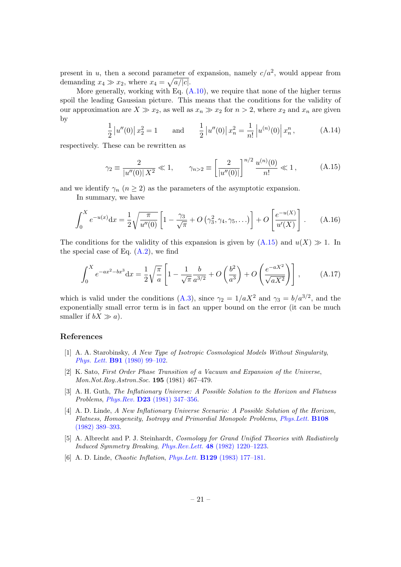present in u, then a second parameter of expansion, namely  $c/a^2$ , would appear from demanding  $x_4 \gg x_2$ , where  $x_4 = \sqrt{a/|c|}$ .

More generally, working with Eq.  $(A.10)$ , we require that none of the higher terms spoil the leading Gaussian picture. This means that the conditions for the validity of our approximation are  $X \gg x_2$ , as well as  $x_n \gg x_2$  for  $n > 2$ , where  $x_2$  and  $x_n$  are given by

$$
\frac{1}{2}|u''(0)|x_2^2 = 1 \quad \text{and} \quad \frac{1}{2}|u''(0)|x_n^2 = \frac{1}{n!}|u^{(n)}(0)|x_n^2, \quad (A.14)
$$

respectively. These can be rewritten as

<span id="page-21-2"></span>
$$
\gamma_2 \equiv \frac{2}{|u''(0)| X^2} \ll 1, \qquad \gamma_{n>2} \equiv \left[ \frac{2}{|u''(0)|} \right]^{n/2} \frac{u^{(n)}(0)}{n!} \ll 1, \tag{A.15}
$$

and we identify  $\gamma_n$   $(n \geq 2)$  as the parameters of the asymptotic expansion.

In summary, we have

$$
\int_0^X e^{-u(x)} dx = \frac{1}{2} \sqrt{\frac{\pi}{u''(0)}} \left[ 1 - \frac{\gamma_3}{\sqrt{\pi}} + O\left(\gamma_3^2, \gamma_4, \gamma_5, \ldots\right) \right] + O\left[\frac{e^{-u(X)}}{u'(X)}\right] \,. \tag{A.16}
$$

The conditions for the validity of this expansion is given by  $(A.15)$  and  $u(X) \gg 1$ . In the special case of Eq.  $(A.2)$ , we find

$$
\int_0^X e^{-ax^2 - bx^3} dx = \frac{1}{2} \sqrt{\frac{\pi}{a}} \left[ 1 - \frac{1}{\sqrt{\pi}} \frac{b}{a^{3/2}} + O\left(\frac{b^2}{a^3}\right) + O\left(\frac{e^{-aX^2}}{\sqrt{aX^2}}\right) \right],
$$
 (A.17)

which is valid under the conditions [\(A.3\)](#page-18-0), since  $\gamma_2 = 1/aX^2$  and  $\gamma_3 = b/a^{3/2}$ , and the exponentially small error term is in fact an upper bound on the error (it can be much smaller if  $bX \gg a$ ).

# References

- <span id="page-21-0"></span>[1] A. A. Starobinsky, A New Type of Isotropic Cosmological Models Without Singularity, Phys. Lett. B91 [\(1980\) 99–102.](http://dx.doi.org/10.1016/0370-2693(80)90670-X)
- [2] K. Sato, First Order Phase Transition of a Vacuum and Expansion of the Universe, Mon.Not.Roy.Astron.Soc. 195 (1981) 467–479.
- [3] A. H. Guth, The Inflationary Universe: A Possible Solution to the Horizon and Flatness Problems, Phys.Rev. D23 [\(1981\) 347–356.](http://dx.doi.org/10.1103/PhysRevD.23.347)
- [4] A. D. Linde, A New Inflationary Universe Scenario: A Possible Solution of the Horizon, Flatness, Homogeneity, Isotropy and Primordial Monopole Problems, [Phys.Lett.](http://dx.doi.org/10.1016/0370-2693(82)91219-9) B108 [\(1982\) 389–393.](http://dx.doi.org/10.1016/0370-2693(82)91219-9)
- [5] A. Albrecht and P. J. Steinhardt, Cosmology for Grand Unified Theories with Radiatively Induced Symmetry Breaking, Phys.Rev.Lett. 48 [\(1982\) 1220–1223.](http://dx.doi.org/10.1103/PhysRevLett.48.1220)
- <span id="page-21-1"></span>[6] A. D. Linde, Chaotic Inflation, Phys.Lett. B129 [\(1983\) 177–181.](http://dx.doi.org/10.1016/0370-2693(83)90837-7)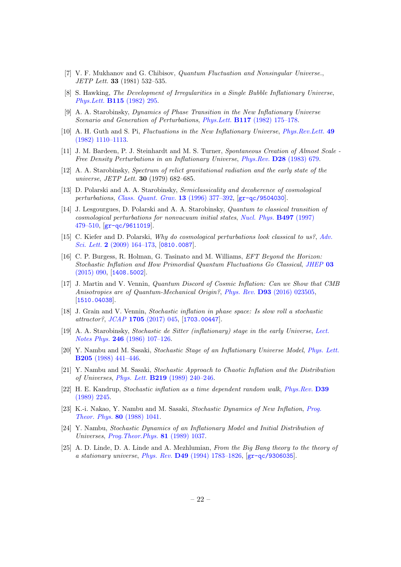- <span id="page-22-0"></span>[7] V. F. Mukhanov and G. Chibisov, Quantum Fluctuation and Nonsingular Universe., JETP Lett. 33 (1981) 532–535.
- [8] S. Hawking, The Development of Irregularities in a Single Bubble Inflationary Universe, Phys.Lett. B115 [\(1982\) 295.](http://dx.doi.org/10.1016/0370-2693(82)90373-2)
- <span id="page-22-4"></span>[9] A. A. Starobinsky, Dynamics of Phase Transition in the New Inflationary Universe Scenario and Generation of Perturbations, Phys.Lett. B117 [\(1982\) 175–178.](http://dx.doi.org/10.1016/0370-2693(82)90541-X)
- [10] A. H. Guth and S. Pi, Fluctuations in the New Inflationary Universe, [Phys.Rev.Lett.](http://dx.doi.org/10.1103/PhysRevLett.49.1110) 49 [\(1982\) 1110–1113.](http://dx.doi.org/10.1103/PhysRevLett.49.1110)
- [11] J. M. Bardeen, P. J. Steinhardt and M. S. Turner, Spontaneous Creation of Almost Scale Free Density Perturbations in an Inflationary Universe, Phys.Rev. D28 [\(1983\) 679.](http://dx.doi.org/10.1103/PhysRevD.28.679)
- <span id="page-22-1"></span>[12] A. A. Starobinsky, Spectrum of relict gravitational radiation and the early state of the universe, JETP Lett. 30 (1979) 682–685.
- <span id="page-22-2"></span>[13] D. Polarski and A. A. Starobinsky, Semiclassicality and decoherence of cosmological perturbations, [Class. Quant. Grav.](http://dx.doi.org/10.1088/0264-9381/13/3/006) 13 (1996) 377–392, [[gr-qc/9504030](http://arxiv.org/abs/gr-qc/9504030)].
- [14] J. Lesgourgues, D. Polarski and A. A. Starobinsky, Quantum to classical transition of cosmological perturbations for nonvacuum initial states, [Nucl. Phys.](http://dx.doi.org/10.1016/S0550-3213(97)00224-1) B497 (1997) [479–510,](http://dx.doi.org/10.1016/S0550-3213(97)00224-1) [[gr-qc/9611019](http://arxiv.org/abs/gr-qc/9611019)].
- [15] C. Kiefer and D. Polarski, Why do cosmological perturbations look classical to us?, [Adv.](http://dx.doi.org/10.1166/asl.2009.1023) Sci. Lett. 2  $(2009)$  164–173, [[0810.0087](http://arxiv.org/abs/0810.0087)].
- [16] C. P. Burgess, R. Holman, G. Tasinato and M. Williams, EFT Beyond the Horizon: Stochastic Inflation and How Primordial Quantum Fluctuations Go Classical, [JHEP](http://dx.doi.org/10.1007/JHEP03(2015)090) 03 [\(2015\) 090,](http://dx.doi.org/10.1007/JHEP03(2015)090) [[1408.5002](http://arxiv.org/abs/1408.5002)].
- [17] J. Martin and V. Vennin, Quantum Discord of Cosmic Inflation: Can we Show that CMB Anisotropies are of Quantum-Mechanical Origin?, Phys. Rev. **D93** [\(2016\) 023505,](http://dx.doi.org/10.1103/PhysRevD.93.023505) [[1510.04038](http://arxiv.org/abs/1510.04038)].
- <span id="page-22-3"></span>[18] J. Grain and V. Vennin, Stochastic inflation in phase space: Is slow roll a stochastic attractor?, JCAP 1705 [\(2017\) 045,](http://dx.doi.org/10.1088/1475-7516/2017/05/045) [[1703.00447](http://arxiv.org/abs/1703.00447)].
- <span id="page-22-5"></span>[19] A. A. Starobinsky, Stochastic de Sitter (inflationary) stage in the early Universe, [Lect.](http://dx.doi.org/10.1007/3-540-16452-9_6) Notes Phys. 246 [\(1986\) 107–126.](http://dx.doi.org/10.1007/3-540-16452-9_6)
- [20] Y. Nambu and M. Sasaki, Stochastic Stage of an Inflationary Universe Model, [Phys. Lett.](http://dx.doi.org/10.1016/0370-2693(88)90974-4) B205 [\(1988\) 441–446.](http://dx.doi.org/10.1016/0370-2693(88)90974-4)
- [21] Y. Nambu and M. Sasaki, Stochastic Approach to Chaotic Inflation and the Distribution of Universes, Phys. Lett. B219 [\(1989\) 240–246.](http://dx.doi.org/10.1016/0370-2693(89)90385-7)
- [22] H. E. Kandrup, Stochastic inflation as a time dependent random walk, [Phys.Rev.](http://dx.doi.org/10.1103/PhysRevD.39.2245) D39 [\(1989\) 2245.](http://dx.doi.org/10.1103/PhysRevD.39.2245)
- [23] K.-i. Nakao, Y. Nambu and M. Sasaki, Stochastic Dynamics of New Inflation, [Prog.](http://dx.doi.org/10.1143/PTP.80.1041) [Theor. Phys.](http://dx.doi.org/10.1143/PTP.80.1041) 80 (1988) 1041.
- [24] Y. Nambu, Stochastic Dynamics of an Inflationary Model and Initial Distribution of Universes, [Prog.Theor.Phys.](http://dx.doi.org/10.1143/PTP.81.1037) 81 (1989) 1037.
- <span id="page-22-6"></span>[25] A. D. Linde, D. A. Linde and A. Mezhlumian, From the Big Bang theory to the theory of a stationary universe, Phys. Rev. D49 [\(1994\) 1783–1826,](http://dx.doi.org/10.1103/PhysRevD.49.1783) [[gr-qc/9306035](http://arxiv.org/abs/gr-qc/9306035)].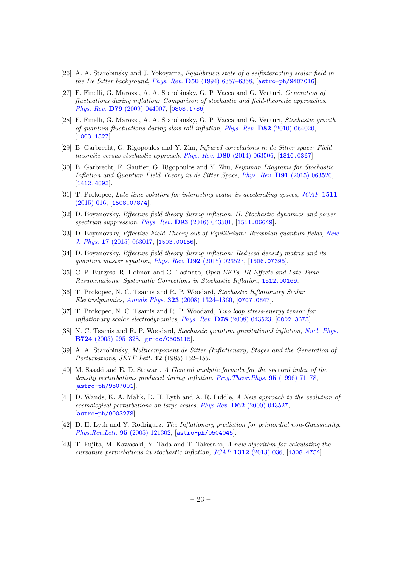- <span id="page-23-0"></span>[26] A. A. Starobinsky and J. Yokoyama, Equilibrium state of a selfinteracting scalar field in the De Sitter background, Phys. Rev. D50 [\(1994\) 6357–6368,](http://dx.doi.org/10.1103/PhysRevD.50.6357) [[astro-ph/9407016](http://arxiv.org/abs/astro-ph/9407016)].
- [27] F. Finelli, G. Marozzi, A. A. Starobinsky, G. P. Vacca and G. Venturi, Generation of fluctuations during inflation: Comparison of stochastic and field-theoretic approaches, Phys. Rev. D79 [\(2009\) 044007,](http://dx.doi.org/10.1103/PhysRevD.79.044007) [[0808.1786](http://arxiv.org/abs/0808.1786)].
- [28] F. Finelli, G. Marozzi, A. A. Starobinsky, G. P. Vacca and G. Venturi, Stochastic growth of quantum fluctuations during slow-roll inflation, Phys. Rev. D82 [\(2010\) 064020,](http://dx.doi.org/10.1103/PhysRevD.82.064020) [[1003.1327](http://arxiv.org/abs/1003.1327)].
- [29] B. Garbrecht, G. Rigopoulos and Y. Zhu, Infrared correlations in de Sitter space: Field theoretic versus stochastic approach, Phys. Rev. D89 [\(2014\) 063506,](http://dx.doi.org/10.1103/PhysRevD.89.063506) [[1310.0367](http://arxiv.org/abs/1310.0367)].
- [30] B. Garbrecht, F. Gautier, G. Rigopoulos and Y. Zhu, Feynman Diagrams for Stochastic Inflation and Quantum Field Theory in de Sitter Space, Phys. Rev. D91 [\(2015\) 063520,](http://dx.doi.org/10.1103/PhysRevD.91.063520) [[1412.4893](http://arxiv.org/abs/1412.4893)].
- [31] T. Prokopec, Late time solution for interacting scalar in accelerating spaces, [JCAP](http://dx.doi.org/10.1088/1475-7516/2015/11/016) 1511 [\(2015\) 016,](http://dx.doi.org/10.1088/1475-7516/2015/11/016) [[1508.07874](http://arxiv.org/abs/1508.07874)].
- [32] D. Boyanovsky, Effective field theory during inflation. II. Stochastic dynamics and power spectrum suppression, *Phys. Rev.* **D93** [\(2016\) 043501,](http://dx.doi.org/10.1103/PhysRevD.93.043501) [[1511.06649](http://arxiv.org/abs/1511.06649)].
- [33] D. Boyanovsky, *Effective Field Theory out of Equilibrium: Brownian quantum fields, [New](http://dx.doi.org/10.1088/1367-2630/17/6/063017)* J. Phys. 17 [\(2015\) 063017,](http://dx.doi.org/10.1088/1367-2630/17/6/063017) [[1503.00156](http://arxiv.org/abs/1503.00156)].
- [34] D. Boyanovsky, Effective field theory during inflation: Reduced density matrix and its quantum master equation, Phys. Rev. D92 [\(2015\) 023527,](http://dx.doi.org/10.1103/PhysRevD.92.023527) [[1506.07395](http://arxiv.org/abs/1506.07395)].
- [35] C. P. Burgess, R. Holman and G. Tasinato, Open EFTs, IR Effects and Late-Time Resummations: Systematic Corrections in Stochastic Inflation, [1512.00169](http://arxiv.org/abs/1512.00169).
- [36] T. Prokopec, N. C. Tsamis and R. P. Woodard, Stochastic Inflationary Scalar Electrodynamics, Annals Phys. 323 [\(2008\) 1324–1360,](http://dx.doi.org/10.1016/j.aop.2007.08.008) [[0707.0847](http://arxiv.org/abs/0707.0847)].
- [37] T. Prokopec, N. C. Tsamis and R. P. Woodard, Two loop stress-energy tensor for inflationary scalar electrodynamics, Phys. Rev. D78 [\(2008\) 043523,](http://dx.doi.org/10.1103/PhysRevD.78.043523) [[0802.3673](http://arxiv.org/abs/0802.3673)].
- <span id="page-23-1"></span>[38] N. C. Tsamis and R. P. Woodard, Stochastic quantum gravitational inflation, [Nucl. Phys.](http://dx.doi.org/10.1016/j.nuclphysb.2005.06.031) B724 [\(2005\) 295–328,](http://dx.doi.org/10.1016/j.nuclphysb.2005.06.031) [[gr-qc/0505115](http://arxiv.org/abs/gr-qc/0505115)].
- <span id="page-23-2"></span>[39] A. A. Starobinsky, Multicomponent de Sitter (Inflationary) Stages and the Generation of Perturbations, JETP Lett. 42 (1985) 152–155.
- [40] M. Sasaki and E. D. Stewart, A General analytic formula for the spectral index of the density perturbations produced during inflation, [Prog.Theor.Phys.](http://dx.doi.org/10.1143/PTP.95.71) 95 (1996) 71–78, [[astro-ph/9507001](http://arxiv.org/abs/astro-ph/9507001)].
- [41] D. Wands, K. A. Malik, D. H. Lyth and A. R. Liddle, A New approach to the evolution of cosmological perturbations on large scales, Phys.Rev. D62 [\(2000\) 043527,](http://dx.doi.org/10.1103/PhysRevD.62.043527)  $\left[ \text{astro-ph}/0003278\right]$ .
- <span id="page-23-3"></span>[42] D. H. Lyth and Y. Rodriguez, The Inflationary prediction for primordial non-Gaussianity, [Phys.Rev.Lett.](http://dx.doi.org/10.1103/PhysRevLett.95.121302) 95 (2005) 121302, [[astro-ph/0504045](http://arxiv.org/abs/astro-ph/0504045)].
- <span id="page-23-4"></span>[43] T. Fujita, M. Kawasaki, Y. Tada and T. Takesako, A new algorithm for calculating the curvature perturbations in stochastic inflation, JCAP 1312 [\(2013\) 036,](http://dx.doi.org/10.1088/1475-7516/2013/12/036) [[1308.4754](http://arxiv.org/abs/1308.4754)].